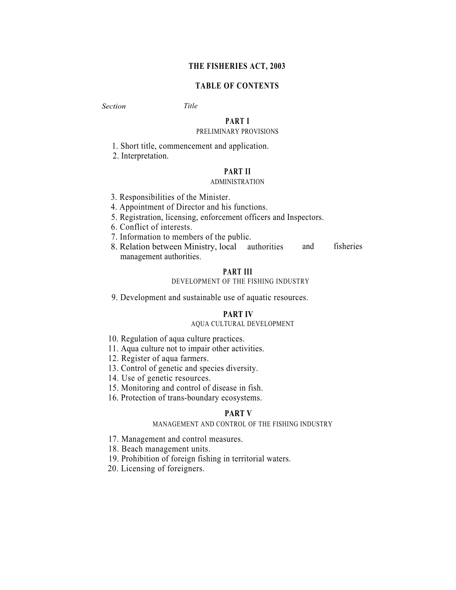# **THE FISHERIES ACT, 2003**

# **TABLE OF CONTENTS**

# *Section Title*

# **PART I**

# PRELIMINARY PROVISIONS

1. Short title, commencement and application.

2. Interpretation.

# **PART II**

### ADMINISTRATION

- 3. Responsibilities of the Minister.
- 4. Appointment of Director and his functions.
- 5. Registration, licensing, enforcement officers and Inspectors.
- 6. Conflict of interests.
- 7. Information to members of the public.
- 8. Relation between Ministry, local authorities and fisheries management authorities.

# **PART III**

# DEVELOPMENT OF THE FISHING INDUSTRY

9. Development and sustainable use of aquatic resources.

### **PART IV**

# AQUA CULTURAL DEVELOPMENT

- 10. Regulation of aqua culture practices.
- 11. Aqua culture not to impair other activities.
- 12. Register of aqua farmers.
- 13. Control of genetic and species diversity.
- 14. Use of genetic resources.
- 15. Monitoring and control of disease in fish.
- 16. Protection of trans-boundary ecosystems.

# **PART V**

### MANAGEMENT AND CONTROL OF THE FISHING INDUSTRY

- 17. Management and control measures.
- 18. Beach management units.
- 19. Prohibition of foreign fishing in territorial waters.
- 20. Licensing of foreigners.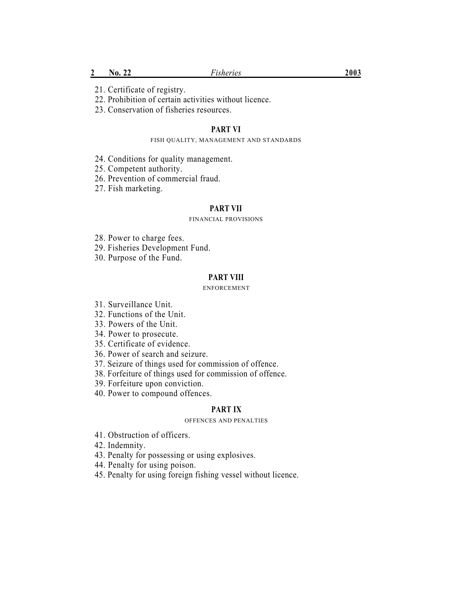22. Prohibition of certain activities without licence.

23. Conservation of fisheries resources.

# **PART VI**

### FISH QUALITY, MANAGEMENT AND STANDARDS

- 24. Conditions for quality management.
- 25. Competent authority.
- 26. Prevention of commercial fraud.
- 27. Fish marketing.

### **PART VII**

### FINANCIAL PROVISIONS

- 28. Power to charge fees.
- 29. Fisheries Development Fund.
- 30. Purpose of the Fund.

### **PART VIII**

### ENFORCEMENT

- 31. Surveillance Unit.
- 32. Functions of the Unit.
- 33. Powers of the Unit.
- 34. Power to prosecute.
- 35. Certificate of evidence.
- 36. Power of search and seizure.
- 37. Seizure of things used for commission of offence.
- 38. Forfeiture of things used for commission of offence.
- 39. Forfeiture upon conviction.
- 40. Power to compound offences.

### **PART IX**

### OFFENCES AND PENALTIES

- 41. Obstruction of officers.
- 42. Indemnity.
- 43. Penalty for possessing or using explosives.
- 44. Penalty for using poison.
- 45. Penalty for using foreign fishing vessel without licence.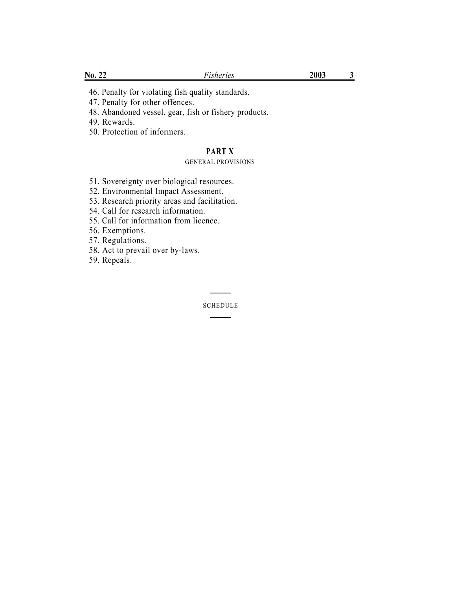46. Penalty for violating fish quality standards.

47. Penalty for other offences.

48. Abandoned vessel, gear, fish or fishery products.

49. Rewards.

50. Protection of informers.

# **PART X**

### GENERAL PROVISIONS

51. Sovereignty over biological resources.

52. Environmental Impact Assessment.

53. Research priority areas and facilitation.

54. Call for research information.

55. Call for information from licence.

56. Exemptions.

57. Regulations.

58. Act to prevail over by-laws.

59. Repeals.

SCHEDULE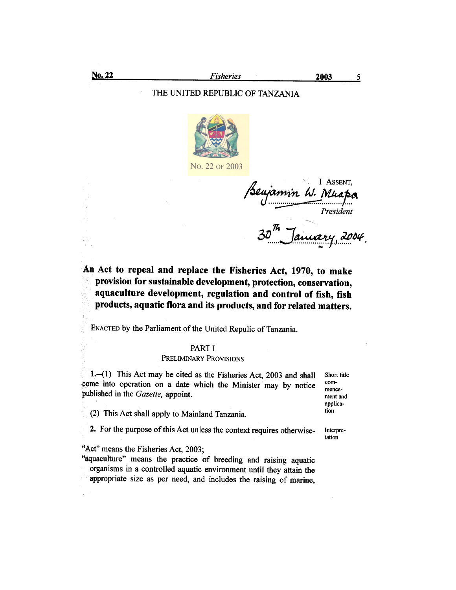# THE UNITED REPUBLIC OF TANZANIA



I ASSENT. jamin W. Muapa <sup>p</sup>resident January, 2004,

# An Act to repeal and replace the Fisheries Act, 1970, to make provision for sustainable development, protection, conservation, aquaculture development, regulation and control of fish, fish products, aquatic flora and its products, and for related matters.

ENACTED by the Parliament of the United Repulic of Tanzania.

### PART I

### PRELIMINARY PROVISIONS

1. (1) This Act may be cited as the Fisheries Act, 2003 and shall come into operation on a date which the Minister may by notice published in the Gazette, appoint.

- (2) This Act shall apply to Mainland Tanzania.
- 2. For the purpose of this Act unless the context requires otherwise-

"Act" means the Fisheries Act, 2003;

"aquaculture" means the practice of breeding and raising aquatic organisms in a controlled aquatic environment until they attain the appropriate size as per need, and includes the raising of marine,

Short title commencement and application

Interpretation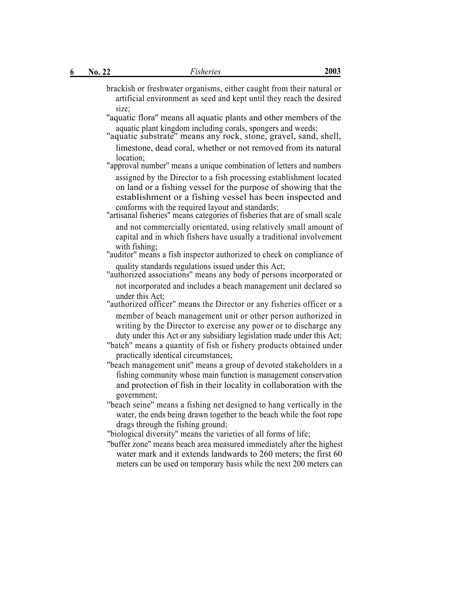size;

- brackish or freshwater organisms, either caught from their natural or artificial environment as seed and kept until they reach the desired
- ''aquatic flora'' means all aquatic plants and other members of the
- aquatic plant kingdom including corals, spongers and weeds; ''aquatic substrate'' means any rock, stone, gravel, sand, shell, limestone, dead coral, whether or not removed from its natural location;
- "approval number'' means a unique combination of letters and numbers assigned by the Director to a fish processing establishment located on land or a fishing vessel for the purpose of showing that the establishment or a fishing vessel has been inspected and conforms with the required layout and standards; ''artisanal fisheries'' means categories of fisheries that are of small scale
- and not commercially orientated, using relatively small amount of capital and in which fishers have usually a traditional involvement with fishing;<br>"auditor" means a fish inspector authorized to check on compliance of
- quality standards regulations issued under this Act; ''authorized associations'' means any body of persons incorporated or
- not incorporated and includes a beach management unit declared so under this Act;
- "authorized officer" means the Director or any fisheries officer or a member of beach management unit or other person authorized in writing by the Director to exercise any power or to discharge any duty under this Act or any subsidiary legislation made under this Act;
- ''batch'' means a quantity of fish or fishery products obtained under practically identical circumstances;
- ''beach management unit'' means a group of devoted stakeholders in a fishing community whose main function is management conservation and protection of fish in their locality in collaboration with the government;
- ''beach seine'' means a fishing net designed to hang vertically in the water, the ends being drawn together to the beach while the foot rope drags through the fishing ground;
- ''biological diversity'' means the varieties of all forms of life;
- ''buffer zone'' means beach area measured immediately after the highest water mark and it extends landwards to 260 meters; the first 60 meters can be used on temporary basis while the next 200 meters can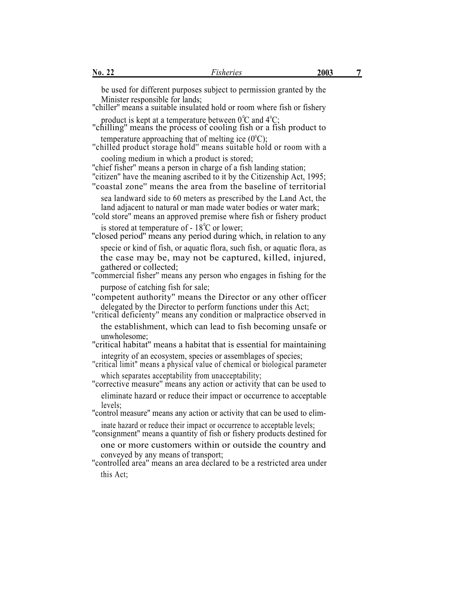be used for different purposes subject to permission granted by the Minister responsible for lands; ''chiller'' means a suitable insulated hold or room where fish or fishery

product is kept at a temperature between  $0^{\circ}C$  and  $4^{\circ}C$ ; "chilling" means the process of cooling fish or a fish product to

temperature approaching that of melting ice  $(0^{\circ}C)$ ; "chilled product storage hold" means suitable hold or room with a cooling medium in which a product is stored;

"chief fisher" means a person in charge of a fish landing station; "citizen" have the meaning ascribed to it by the Citizenship Act, 1995;

''coastal zone'' means the area from the baseline of territorial sea landward side to 60 meters as prescribed by the Land Act, the

land adjacent to natural or man made water bodies or water mark;

''cold store'' means an approved premise where fish or fishery product is stored at temperature of  $-18^{\circ}$ C or lower;

''closed period'' means any period during which, in relation to any specie or kind of fish, or aquatic flora, such fish, or aquatic flora, as the case may be, may not be captured, killed, injured, gathered or collected;

"commercial fisher" means any person who engages in fishing for the purpose of catching fish for sale;

''competent authority'' means the Director or any other officer delegated by the Director to perform functions under this Act;<br>"critical deficienty" means any condition or malpractice observed in

the establishment, which can lead to fish becoming unsafe or

unwholesome;

"critical habitat" means a habitat that is essential for maintaining integrity of an ecosystem, species or assemblages of species;

''critical limit" means a physical value of chemical or biological parameter which separates acceptability from unacceptability;

''corrective measure'' means any action or activity that can be used to eliminate hazard or reduce their impact or occurrence to acceptable levels;

"control measure" means any action or activity that can be used to eliminate hazard or reduce their impact or occurrence to acceptable levels;

''consignment'' means a quantity of fish or fishery products destined for

one or more customers within or outside the country and conveved by any means of transport:

"controlled area" means an area declared to be a restricted area under this Act;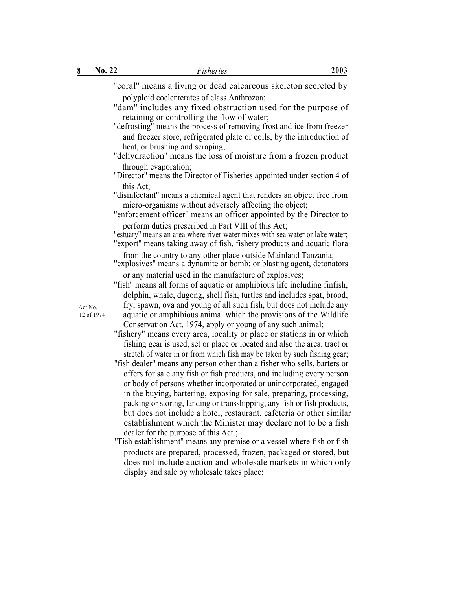| 8                     | No. 22 | 2003<br>Fisheries                                                                                                                                                                                                                                                                                                                                                                                                                                                                                                                                                                                                                                                                                                                                                                                                                                                                                                                                                                                                                                                                                                                                                                                                                                                                                                                                                                                                                           |
|-----------------------|--------|---------------------------------------------------------------------------------------------------------------------------------------------------------------------------------------------------------------------------------------------------------------------------------------------------------------------------------------------------------------------------------------------------------------------------------------------------------------------------------------------------------------------------------------------------------------------------------------------------------------------------------------------------------------------------------------------------------------------------------------------------------------------------------------------------------------------------------------------------------------------------------------------------------------------------------------------------------------------------------------------------------------------------------------------------------------------------------------------------------------------------------------------------------------------------------------------------------------------------------------------------------------------------------------------------------------------------------------------------------------------------------------------------------------------------------------------|
|                       |        | "coral" means a living or dead calcareous skeleton secreted by<br>polyploid coelenterates of class Anthrozoa;<br>"dam" includes any fixed obstruction used for the purpose of<br>retaining or controlling the flow of water;<br>"defrosting" means the process of removing frost and ice from freezer<br>and freezer store, refrigerated plate or coils, by the introduction of<br>heat, or brushing and scraping;<br>"dehydraction" means the loss of moisture from a frozen product<br>through evaporation;<br>"Director" means the Director of Fisheries appointed under section 4 of<br>this Act;<br>"disinfectant" means a chemical agent that renders an object free from<br>micro-organisms without adversely affecting the object;<br>"enforcement officer" means an officer appointed by the Director to<br>perform duties prescribed in Part VIII of this Act;<br>"estuary" means an area where river water mixes with sea water or lake water;                                                                                                                                                                                                                                                                                                                                                                                                                                                                                   |
| Act No.<br>12 of 1974 |        | "export" means taking away of fish, fishery products and aquatic flora<br>from the country to any other place outside Mainland Tanzania;<br>"explosives" means a dynamite or bomb; or blasting agent, detonators<br>or any material used in the manufacture of explosives;<br>"fish" means all forms of aquatic or amphibious life including finfish,<br>dolphin, whale, dugong, shell fish, turtles and includes spat, brood,<br>fry, spawn, ova and young of all such fish, but does not include any<br>aquatic or amphibious animal which the provisions of the Wildlife<br>Conservation Act, 1974, apply or young of any such animal;<br>"fishery" means every area, locality or place or stations in or which<br>fishing gear is used, set or place or located and also the area, tract or<br>stretch of water in or from which fish may be taken by such fishing gear;<br>"fish dealer" means any person other than a fisher who sells, barters or<br>offers for sale any fish or fish products, and including every person<br>or body of persons whether incorporated or unincorporated, engaged<br>in the buying, bartering, exposing for sale, preparing, processing,<br>packing or storing, landing or transshipping, any fish or fish products,<br>but does not include a hotel, restaurant, cafeteria or other similar<br>establishment which the Minister may declare not to be a fish<br>dealer for the purpose of this Act.; |

''Fish establishment'' means any premise or a vessel where fish or fish products are prepared, processed, frozen, packaged or stored, but does not include auction and wholesale markets in which only display and sale by wholesale takes place;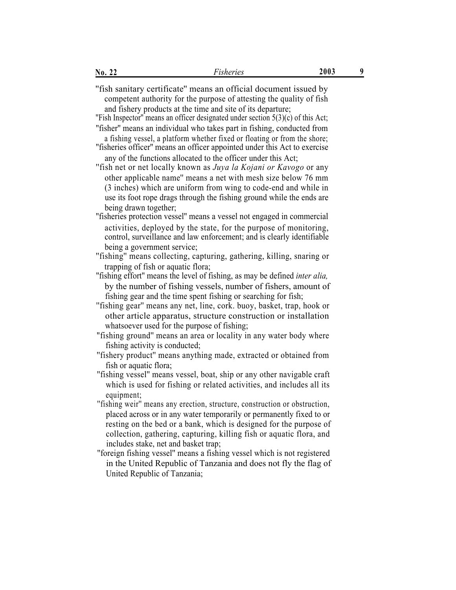| No. 22                               | <i>Fisheries</i>                                                                                                                                                                                                                                                                                 | 2003 | 9 |
|--------------------------------------|--------------------------------------------------------------------------------------------------------------------------------------------------------------------------------------------------------------------------------------------------------------------------------------------------|------|---|
|                                      | "fish sanitary certificate" means an official document issued by<br>competent authority for the purpose of attesting the quality of fish<br>and fishery products at the time and site of its departure;                                                                                          |      |   |
|                                      | "Fish Inspector" means an officer designated under section $5(3)(c)$ of this Act;                                                                                                                                                                                                                |      |   |
|                                      | "fisher" means an individual who takes part in fishing, conducted from<br>a fishing vessel, a platform whether fixed or floating or from the shore;<br>"fisheries officer" means an officer appointed under this Act to exercise                                                                 |      |   |
|                                      | any of the functions allocated to the officer under this Act;<br>"fish net or net locally known as Juya la Kojani or Kavogo or any                                                                                                                                                               |      |   |
| being drawn together;                | other applicable name" means a net with mesh size below 76 mm<br>(3 inches) which are uniform from wing to code-end and while in<br>use its foot rope drags through the fishing ground while the ends are                                                                                        |      |   |
|                                      | "fisheries protection vessel" means a vessel not engaged in commercial                                                                                                                                                                                                                           |      |   |
| being a government service;          | activities, deployed by the state, for the purpose of monitoring,<br>control, surveillance and law enforcement; and is clearly identifiable                                                                                                                                                      |      |   |
| trapping of fish or aquatic flora;   | "fishing" means collecting, capturing, gathering, killing, snaring or                                                                                                                                                                                                                            |      |   |
|                                      | "fishing effort" means the level of fishing, as may be defined <i>inter alia</i> ,<br>by the number of fishing vessels, number of fishers, amount of<br>fishing gear and the time spent fishing or searching for fish;                                                                           |      |   |
|                                      | "fishing gear" means any net, line, cork. buoy, basket, trap, hook or<br>other article apparatus, structure construction or installation                                                                                                                                                         |      |   |
| fishing activity is conducted;       | whatsoever used for the purpose of fishing;<br>"fishing ground" means an area or locality in any water body where                                                                                                                                                                                |      |   |
| fish or aquatic flora;               | "fishery product" means anything made, extracted or obtained from                                                                                                                                                                                                                                |      |   |
| equipment;                           | "fishing vessel" means vessel, boat, ship or any other navigable craft<br>which is used for fishing or related activities, and includes all its                                                                                                                                                  |      |   |
| includes stake, net and basket trap; | "fishing weir" means any erection, structure, construction or obstruction,<br>placed across or in any water temporarily or permanently fixed to or<br>resting on the bed or a bank, which is designed for the purpose of<br>collection, gathering, capturing, killing fish or aquatic flora, and |      |   |
| United Republic of Tanzania;         | "foreign fishing vessel" means a fishing vessel which is not registered<br>in the United Republic of Tanzania and does not fly the flag of                                                                                                                                                       |      |   |
|                                      |                                                                                                                                                                                                                                                                                                  |      |   |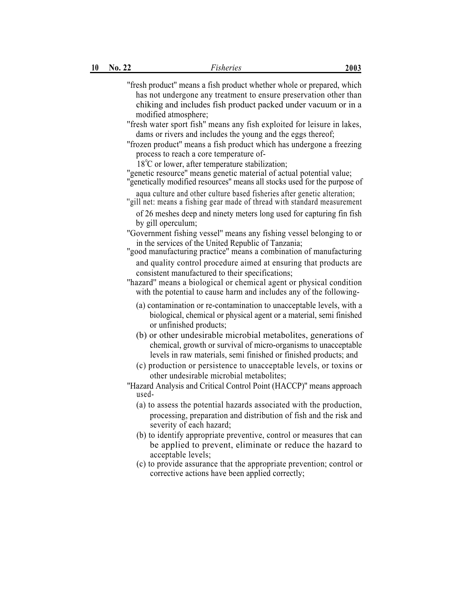- ''fresh product'' means a fish product whether whole or prepared, which has not undergone any treatment to ensure preservation other than chiking and includes fish product packed under vacuum or in a modified atmosphere;
- ''fresh water sport fish'' means any fish exploited for leisure in lakes, dams or rivers and includes the young and the eggs thereof;
- ''frozen product'' means a fish product which has undergone a freezing process to reach a core temperature of-
	- $18^{\circ}$ C or lower, after temperature stabilization;
- ''genetic resource'' means genetic material of actual potential value;
- ''genetically modified resources'' means all stocks used for the purpose of aqua culture and other culture based fisheries after genetic alteration;
- ''gill net: means a fishing gear made of thread with standard measurement
	- of 26 meshes deep and ninety meters long used for capturing fin fish by gill operculum;
- ''Government fishing vessel'' means any fishing vessel belonging to or in the services of the United Republic of Tanzania; ''good manufacturing practice'' means a combination of manufacturing
- and quality control procedure aimed at ensuring that products are consistent manufactured to their specifications;

# "hazard" means a biological or chemical agent or physical condition with the potential to cause harm and includes any of the following-

- (a) contamination or re-contamination to unacceptable levels, with a biological, chemical or physical agent or a material, semi finished or unfinished products;
- (b) or other undesirable microbial metabolites, generations of chemical, growth or survival of micro-organisms to unacceptable levels in raw materials, semi finished or finished products; and
- (c) production or persistence to unacceptable levels, or toxins or other undesirable microbial metabolites;
- ''Hazard Analysis and Critical Control Point (HACCP)'' means approach used-
	- (a) to assess the potential hazards associated with the production, processing, preparation and distribution of fish and the risk and severity of each hazard;
	- (b) to identify appropriate preventive, control or measures that can be applied to prevent, eliminate or reduce the hazard to acceptable levels;
	- (c) to provide assurance that the appropriate prevention; control or corrective actions have been applied correctly;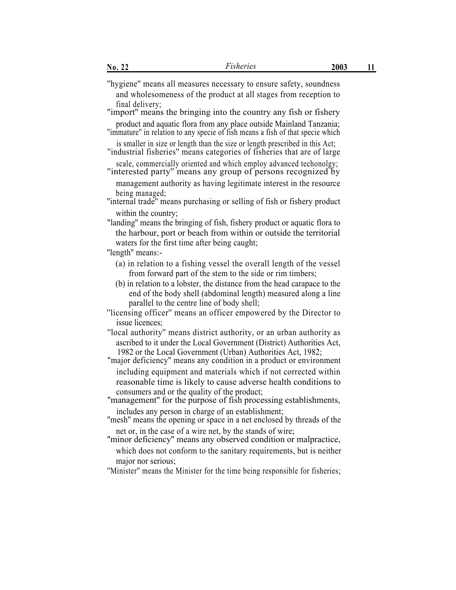final delivery;<br>"import" means the bringing into the country any fish or fishery"

product and aquatic flora from any place outside Mainland Tanzania; ''immature'' in relation to any specie of fish means a fish of that specie which

is smaller in size or length than the size or length prescribed in this Act;

''industrial fisheries'' means categories of fisheries that are of large scale, commercially oriented and which employ advanced techonolgy; ''interested party'' means any group of persons recognized by

management authority as having legitimate interest in the resource being managed;

''internal trade'' means purchasing or selling of fish or fishery product within the country;

"landing'' means the bringing of fish, fishery product or aquatic flora to the harbour, port or beach from within or outside the territorial waters for the first time after being caught;

"length" means:-

- (a) in relation to a fishing vessel the overall length of the vessel from forward part of the stem to the side or rim timbers;
- (b) in relation to a lobster, the distance from the head carapace to the end of the body shell (abdominal length) measured along a line parallel to the centre line of body shell;
- ''licensing officer'' means an officer empowered by the Director to issue licences;

''local authority'' means district authority, or an urban authority as ascribed to it under the Local Government (District) Authorities Act, 1982 or the Local Government (Urban) Authorities Act, 1982;

''major deficiency'' means any condition in a product or environment including equipment and materials which if not corrected within reasonable time is likely to cause adverse health conditions to consumers and or the quality of the product;

''management'' for the purpose of fish processing establishments,

includes any person in charge of an establishment; ''mesh'' means the opening or space in a net enclosed by threads of the

net or, in the case of a wire net, by the stands of wire; ''minor deficiency'' means any observed condition or malpractice,

which does not conform to the sanitary requirements, but is neither major nor serious;

''Minister'' means the Minister for the time being responsible for fisheries;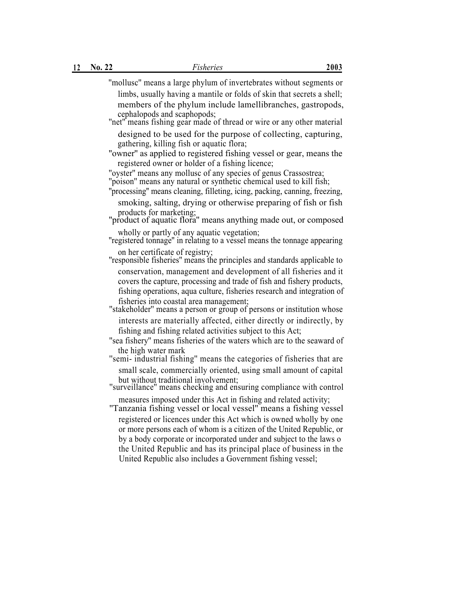| 2003 | Fisheries                                                                                                                                                                                                                                    | No. 22 | 12 |
|------|----------------------------------------------------------------------------------------------------------------------------------------------------------------------------------------------------------------------------------------------|--------|----|
|      | "molluse" means a large phylum of invertebrates without segments or                                                                                                                                                                          |        |    |
|      | limbs, usually having a mantile or folds of skin that secrets a shell;<br>members of the phylum include lamellibranches, gastropods,<br>cephalopods and scaphopods;<br>"net" means fishing gear made of thread or wire or any other material |        |    |
|      | designed to be used for the purpose of collecting, capturing,<br>gathering, killing fish or aquatic flora;                                                                                                                                   |        |    |
|      | "owner" as applied to registered fishing vessel or gear, means the<br>registered owner or holder of a fishing licence;                                                                                                                       |        |    |
|      | "oyster" means any mollusc of any species of genus Crassostrea;<br>"poison" means any natural or synthetic chemical used to kill fish;<br>"processing" means cleaning, filleting, icing, packing, canning, freezing,                         |        |    |
|      | smoking, salting, drying or otherwise preparing of fish or fish                                                                                                                                                                              |        |    |
|      | products for marketing;<br>"product of aquatic flora" means anything made out, or composed                                                                                                                                                   |        |    |
|      | wholly or partly of any aquatic vegetation;<br>"registered tonnage" in relating to a vessel means the tonnage appearing                                                                                                                      |        |    |
|      | on her certificate of registry;<br>"responsible fisheries" means the principles and standards applicable to                                                                                                                                  |        |    |
|      | conservation, management and development of all fisheries and it<br>covers the capture, processing and trade of fish and fishery products,<br>fishing operations, aqua culture, fisheries research and integration of                        |        |    |
|      | fisheries into coastal area management;<br>"stakeholder" means a person or group of persons or institution whose                                                                                                                             |        |    |
|      | interests are materially affected, either directly or indirectly, by<br>fishing and fishing related activities subject to this Act;                                                                                                          |        |    |
|      | "sea fishery" means fisheries of the waters which are to the seaward of                                                                                                                                                                      |        |    |
|      | the high water mark<br>"semi- industrial fishing" means the categories of fisheries that are                                                                                                                                                 |        |    |
|      | small scale, commercially oriented, using small amount of capital<br>but without traditional involvement;<br>"surveillance" means checking and ensuring compliance with control                                                              |        |    |
|      | measures imposed under this Act in fishing and related activity;<br>"Tanzania fishing vessel or local vessel" means a fishing vessel                                                                                                         |        |    |

registered or licences under this Act which is owned wholly by one or more persons each of whom is a citizen of the United Republic, or by a body corporate or incorporated under and subject to the laws o the United Republic and has its principal place of business in the United Republic also includes a Government fishing vessel;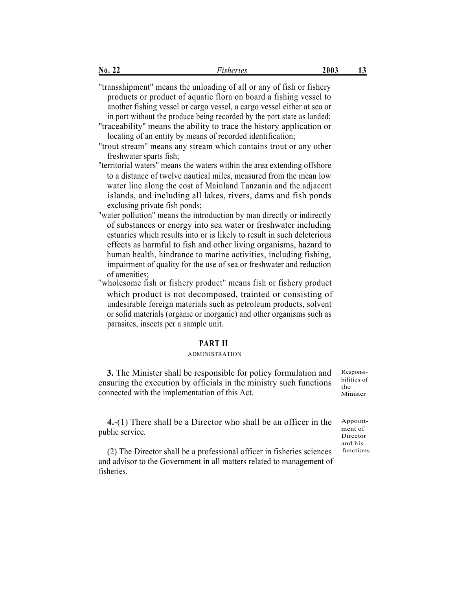''transshipment'' means the unloading of all or any of fish or fishery products or product of aquatic flora on board a fishing vessel to another fishing vessel or cargo vessel, a cargo vessel either at sea or in port without the produce being recorded by the port state as landed;

''traceability'' means the ability to trace the history application or locating of an entity by means of recorded identification;

''trout stream'' means any stream which contains trout or any other freshwater sparts fish;

''territorial waters'' means the waters within the area extending offshore to a distance of twelve nautical miles, measured from the mean low water line along the cost of Mainland Tanzania and the adjacent islands, and including all lakes, rivers, dams and fish ponds exclusing private fish ponds;

''water pollution'' means the introduction by man directly or indirectly of substances or energy into sea water or freshwater including estuaries which results into or is likely to result in such deleterious effects as harmful to fish and other living organisms, hazard to human health, hindrance to marine activities, including fishing, impairment of quality for the use of sea or freshwater and reduction of amenities;

''wholesome fish or fishery product'' means fish or fishery product which product is not decomposed, trainted or consisting of undesirable foreign materials such as petroleum products, solvent or solid materials (organic or inorganic) and other organisms such as parasites, insects per a sample unit.

### **PART II**

### ADMINISTRATION

**3.** The Minister shall be responsible for policy formulation and ensuring the execution by officials in the ministry such functions connected with the implementation of this Act.

Responsibilities of the Minister

**4.**-(1) There shall be a Director who shall be an officer in the public service.

(2) The Director shall be a professional officer in fisheries sciences and advisor to the Government in all matters related to management of fisheries.

Appointment of Director and his functions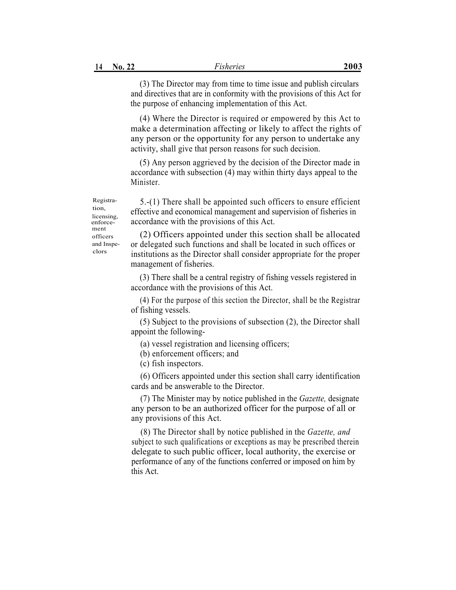(3) The Director may from time to time issue and publish circulars and directives that are in conformity with the provisions of this Act for the purpose of enhancing implementation of this Act.

(4) Where the Director is required or empowered by this Act to make a determination affecting or likely to affect the rights of any person or the opportunity for any person to undertake any activity, shall give that person reasons for such decision.

(5) Any person aggrieved by the decision of the Director made in accordance with subsection (4) may within thirty days appeal to the Minister.

5.-(1) There shall be appointed such officers to ensure efficient effective and economical management and supervision of fisheries in accordance with the provisions of this Act.

(2) Officers appointed under this section shall be allocated or delegated such functions and shall be located in such offices or institutions as the Director shall consider appropriate for the proper management of fisheries.

(3) There shall be a central registry of fishing vessels registered in accordance with the provisions of this Act.

(4) For the purpose of this section the Director, shall be the Registrar of fishing vessels.

(5) Subject to the provisions of subsection (2), the Director shall appoint the following-

- (a) vessel registration and licensing officers;
- (b) enforcement officers; and
- (c) fish inspectors.

(6) Officers appointed under this section shall carry identification cards and be answerable to the Director.

(7) The Minister may by notice published in the *Gazette,* designate any person to be an authorized officer for the purpose of all or any provisions of this Act.

(8) The Director shall by notice published in the *Gazette, and* subject to such qualifications or exceptions as may be prescribed therein delegate to such public officer, local authority, the exercise or performance of any of the functions conferred or imposed on him by this Act.

Registration, licensing, enforcement officers and Inspeclors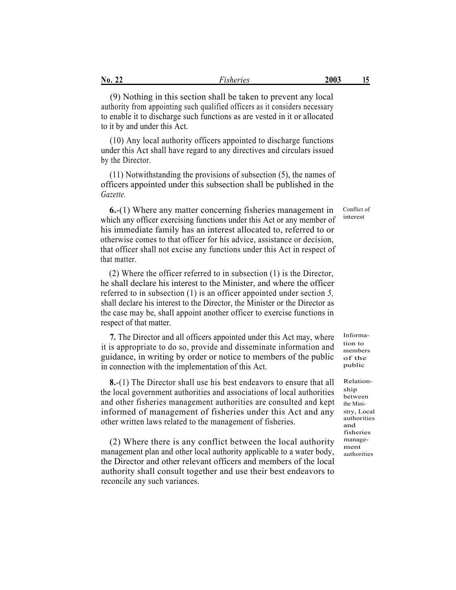| No.<br>$\sim$<br>. . | isheries | 2003 | л |
|----------------------|----------|------|---|
|                      |          |      |   |

(9) Nothing in this section shall be taken to prevent any local authority from appointing such qualified officers as it considers necessary to enable it to discharge such functions as are vested in it or allocated to it by and under this Act.

(10) Any local authority officers appointed to discharge functions under this Act shall have regard to any directives and circulars issued by the Director.

(11) Notwithstanding the provisions of subsection (5), the names of officers appointed under this subsection shall be published in the *Gazette.*

**6.**-(1) Where any matter concerning fisheries management in which any officer exercising functions under this Act or any member of his immediate family has an interest allocated to, referred to or otherwise comes to that officer for his advice, assistance or decision, that officer shall not excise any functions under this Act in respect of that matter.

(2) Where the officer referred to in subsection (1) is the Director, he shall declare his interest to the Minister, and where the officer referred to in subsection (1) is an officer appointed under section *5,* shall declare his interest to the Director, the Minister or the Director as the case may be, shall appoint another officer to exercise functions in respect of that matter.

**7.** The Director and all officers appointed under this Act may, where Informait is appropriate to do so, provide and disseminate information and guidance, in writing by order or notice to members of the public in connection with the implementation of this Act.

**8.**-(1) The Director shall use his best endeavors to ensure that all the local government authorities and associations of local authorities and other fisheries management authorities are consulted and kept informed of management of fisheries under this Act and any other written laws related to the management of fisheries.

(2) Where there is any conflict between the local authority management plan and other local authority applicable to a water body, the Director and other relevant officers and members of the local authority shall consult together and use their best endeavors to reconcile any such variances.

tion to members of the public

Conflict of interest

Relationship between the Ministry, Local authorities and fisheries management authorities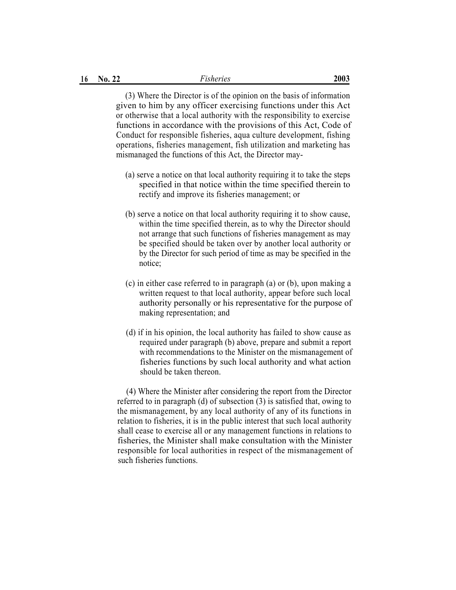(3) Where the Director is of the opinion on the basis of information given to him by any officer exercising functions under this Act or otherwise that a local authority with the responsibility to exercise functions in accordance with the provisions of this Act, Code of Conduct for responsible fisheries, aqua culture development, fishing operations, fisheries management, fish utilization and marketing has mismanaged the functions of this Act, the Director may-

- (a) serve a notice on that local authority requiring it to take the steps specified in that notice within the time specified therein to rectify and improve its fisheries management; or
- (b) serve a notice on that local authority requiring it to show cause, within the time specified therein, as to why the Director should not arrange that such functions of fisheries management as may be specified should be taken over by another local authority or by the Director for such period of time as may be specified in the notice;
- (c) in either case referred to in paragraph (a) or (b), upon making a written request to that local authority, appear before such local authority personally or his representative for the purpose of making representation; and
- (d) if in his opinion, the local authority has failed to show cause as required under paragraph (b) above, prepare and submit a report with recommendations to the Minister on the mismanagement of fisheries functions by such local authority and what action should be taken thereon.

(4) Where the Minister after considering the report from the Director referred to in paragraph (d) of subsection (3) is satisfied that, owing to the mismanagement, by any local authority of any of its functions in relation to fisheries, it is in the public interest that such local authority shall cease to exercise all or any management functions in relations to fisheries, the Minister shall make consultation with the Minister responsible for local authorities in respect of the mismanagement of such fisheries functions.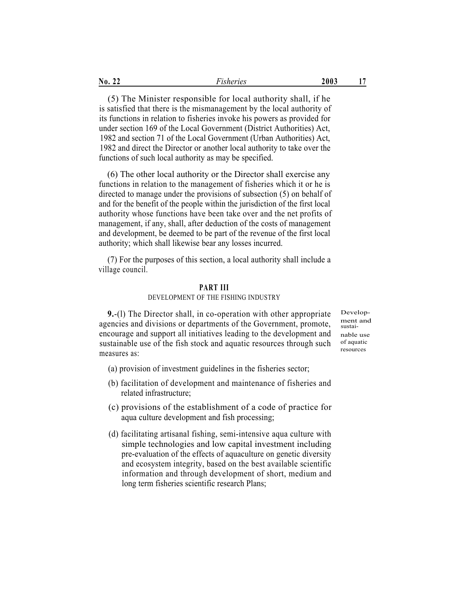| No.<br>- -<br>~~<br>. . | ısheries<br>isher | 2003 |  |
|-------------------------|-------------------|------|--|
|                         |                   |      |  |

(5) The Minister responsible for local authority shall, if he is satisfied that there is the mismanagement by the local authority of its functions in relation to fisheries invoke his powers as provided for under section 169 of the Local Government (District Authorities) Act, 1982 and section 71 of the Local Government (Urban Authorities) Act, 1982 and direct the Director or another local authority to take over the functions of such local authority as may be specified.

(6) The other local authority or the Director shall exercise any functions in relation to the management of fisheries which it or he is directed to manage under the provisions of subsection (5) on behalf of and for the benefit of the people within the jurisdiction of the first local authority whose functions have been take over and the net profits of management, if any, shall, after deduction of the costs of management and development, be deemed to be part of the revenue of the first local authority; which shall likewise bear any losses incurred.

(7) For the purposes of this section, a local authority shall include a village council.

# **PART III**

### DEVELOPMENT OF THE FISHING INDUSTRY

**9.**-(l) The Director shall, in co-operation with other appropriate agencies and divisions or departments of the Government, promote, encourage and support all initiatives leading to the development and sustainable use of the fish stock and aquatic resources through such measures as:

Development and sustainable use of aquatic resources

- (a) provision of investment guidelines in the fisheries sector;
- (b) facilitation of development and maintenance of fisheries and related infrastructure;
- (c) provisions of the establishment of a code of practice for aqua culture development and fish processing;
- (d) facilitating artisanal fishing, semi-intensive aqua culture with simple technologies and low capital investment including pre-evaluation of the effects of aquaculture on genetic diversity and ecosystem integrity, based on the best available scientific information and through development of short, medium and long term fisheries scientific research Plans;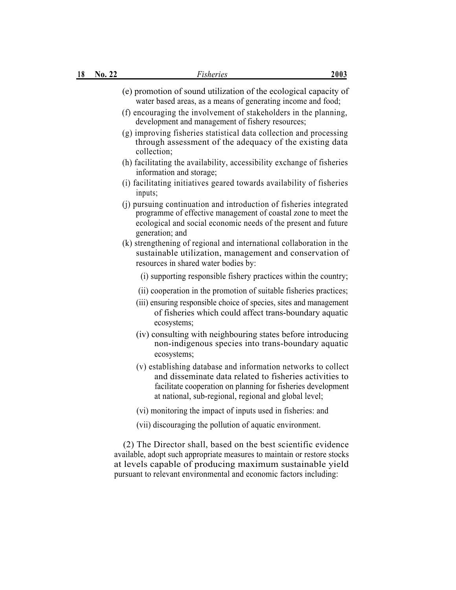| 18 | No. 22 | <i>Fisheries</i>                                                                                                                                                                                                                                                            | 2003 |
|----|--------|-----------------------------------------------------------------------------------------------------------------------------------------------------------------------------------------------------------------------------------------------------------------------------|------|
|    |        | (e) promotion of sound utilization of the ecological capacity of<br>water based areas, as a means of generating income and food;<br>(f) encouraging the involvement of stakeholders in the planning,<br>development and management of fishery resources;                    |      |
|    |        | (g) improving fisheries statistical data collection and processing<br>through assessment of the adequacy of the existing data<br>collection;                                                                                                                                |      |
|    |        | (h) facilitating the availability, accessibility exchange of fisheries<br>information and storage;                                                                                                                                                                          |      |
|    |        | (i) facilitating initiatives geared towards availability of fisheries<br>inputs;                                                                                                                                                                                            |      |
|    |        | (j) pursuing continuation and introduction of fisheries integrated<br>programme of effective management of coastal zone to meet the<br>ecological and social economic needs of the present and future<br>generation; and                                                    |      |
|    |        | (k) strengthening of regional and international collaboration in the<br>sustainable utilization, management and conservation of<br>resources in shared water bodies by:                                                                                                     |      |
|    |        | (i) supporting responsible fishery practices within the country;                                                                                                                                                                                                            |      |
|    |        | (ii) cooperation in the promotion of suitable fisheries practices;<br>(iii) ensuring responsible choice of species, sites and management<br>of fisheries which could affect trans-boundary aquatic<br>ecosystems;                                                           |      |
|    |        | (iv) consulting with neighbouring states before introducing<br>non-indigenous species into trans-boundary aquatic<br>ecosystems;                                                                                                                                            |      |
|    |        | (v) establishing database and information networks to collect<br>and disseminate data related to fisheries activities to<br>facilitate cooperation on planning for fisheries development<br>at national, sub-regional, regional and global level;                           |      |
|    |        | (vi) monitoring the impact of inputs used in fisheries: and                                                                                                                                                                                                                 |      |
|    |        | (vii) discouraging the pollution of aquatic environment.                                                                                                                                                                                                                    |      |
|    |        | (2) The Director shall, based on the best scientific evidence<br>available, adopt such appropriate measures to maintain or restore stocks<br>at levels capable of producing maximum sustainable yield<br>pursuant to relevant environmental and economic factors including: |      |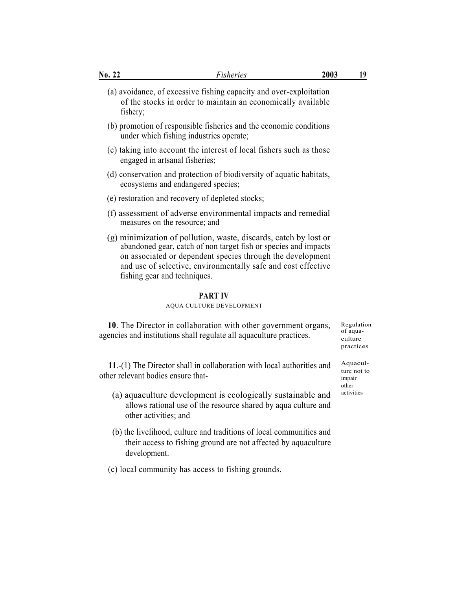| <u>No. 22</u> | <u>Fisheries</u>                                                                                                                                                                                                                                                                                   | 2003 | 19                                             |
|---------------|----------------------------------------------------------------------------------------------------------------------------------------------------------------------------------------------------------------------------------------------------------------------------------------------------|------|------------------------------------------------|
| fishery;      | (a) avoidance, of excessive fishing capacity and over-exploitation<br>of the stocks in order to maintain an economically available                                                                                                                                                                 |      |                                                |
|               | (b) promotion of responsible fisheries and the economic conditions<br>under which fishing industries operate;                                                                                                                                                                                      |      |                                                |
|               | (c) taking into account the interest of local fishers such as those<br>engaged in artsanal fisheries;                                                                                                                                                                                              |      |                                                |
|               | (d) conservation and protection of biodiversity of aquatic habitats,<br>ecosystems and endangered species;                                                                                                                                                                                         |      |                                                |
|               | (e) restoration and recovery of depleted stocks;                                                                                                                                                                                                                                                   |      |                                                |
|               | (f) assessment of adverse environmental impacts and remedial<br>measures on the resource; and                                                                                                                                                                                                      |      |                                                |
|               | (g) minimization of pollution, waste, discards, catch by lost or<br>abandoned gear, catch of non target fish or species and impacts<br>on associated or dependent species through the development<br>and use of selective, environmentally safe and cost effective<br>fishing gear and techniques. |      |                                                |
|               | <b>PART IV</b><br>AQUA CULTURE DEVELOPMENT                                                                                                                                                                                                                                                         |      |                                                |
|               | 10. The Director in collaboration with other government organs,<br>agencies and institutions shall regulate all aquaculture practices.                                                                                                                                                             |      | Regulation<br>of aqua-<br>culture<br>practices |

11.-(1) The Director shall in collaboration with local authorities and  $\frac{Aquacult}{ture not to}$ other relevant bodies ensure that-

- $(a)$  aquaculture development is ecologically sustainable and  $a$  activities allows rational use of the resource shared by aqua culture and other activities; and
- (b) the livelihood, culture and traditions of local communities and their access to fishing ground are not affected by aquaculture development.
- (c) local community has access to fishing grounds.

impair other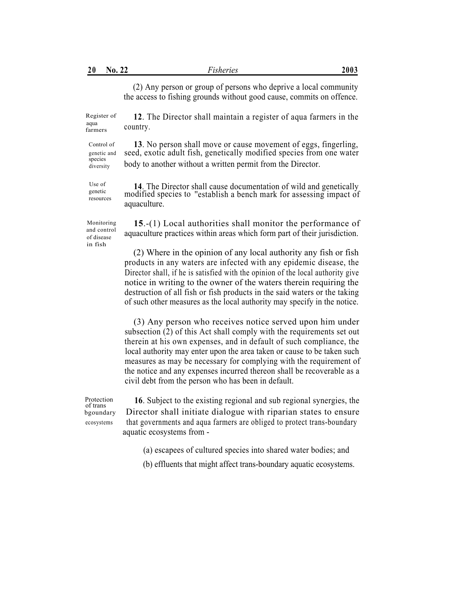(2) Any person or group of persons who deprive a local community the access to fishing grounds without good cause, commits on offence.

Register of **12**. The Director shall maintain a register of aqua farmers in the  $f_{\text{armers}}$  country.

Use of

Control of **13**. No person shall move or cause movement of eggs, fingerling, genetic and seed, exotic adult fish, genetically modified species from one water diversity body to another without a written permit from the Director.

Use of **14**. The Director shall cause documentation of wild and genetically modified species to "establish a bench mark for assessing impact of resources mounted by<br>aquaculture.

Monitoring and control of disease in fish

**15**.-(1) Local authorities shall monitor the performance of aquaculture practices within areas which form part of their jurisdiction.

(2) Where in the opinion of any local authority any fish or fish products in any waters are infected with any epidemic disease, the Director shall, if he is satisfied with the opinion of the local authority give notice in writing to the owner of the waters therein requiring the destruction of all fish or fish products in the said waters or the taking of such other measures as the local authority may specify in the notice.

(3) Any person who receives notice served upon him under subsection (2) of this Act shall comply with the requirements set out therein at his own expenses, and in default of such compliance, the local authority may enter upon the area taken or cause to be taken such measures as may be necessary for complying with the requirement of the notice and any expenses incurred thereon shall be recoverable as a civil debt from the person who has been in default.

Protection **16**. Subject to the existing regional and sub regional synergies, the beaundary Director shall initiate dialogue with riparian states to ensure Director shall initiate dialogue with riparian states to ensure ecosystems that governments and aqua farmers are obliged to protect trans-boundary aquatic ecosystems from -

- (a) escapees of cultured species into shared water bodies; and
- (b) effluents that might affect trans-boundary aquatic ecosystems.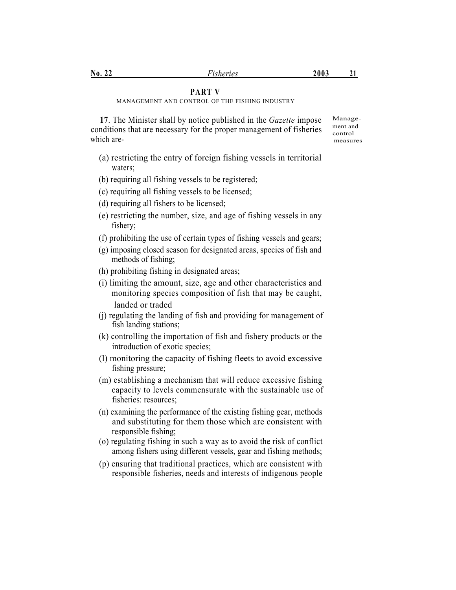# **PART V**

MANAGEMENT AND CONTROL OF THE FISHING INDUSTRY

**17**. The Minister shall by notice published in the *Gazette* impose conditions that are necessary for the proper management of fisheries which are-

Management and control measures

- (a) restricting the entry of foreign fishing vessels in territorial waters;
- (b) requiring all fishing vessels to be registered;
- (c) requiring all fishing vessels to be licensed;
- (d) requiring all fishers to be licensed;
- (e) restricting the number, size, and age of fishing vessels in any fishery;
- (f) prohibiting the use of certain types of fishing vessels and gears;
- (g) imposing closed season for designated areas, species of fish and methods of fishing;
- (h) prohibiting fishing in designated areas;
- (i) limiting the amount, size, age and other characteristics and monitoring species composition of fish that may be caught, landed or traded
- (j) regulating the landing of fish and providing for management of fish landing stations;
- (k) controlling the importation of fish and fishery products or the introduction of exotic species;
- (l) monitoring the capacity of fishing fleets to avoid excessive fishing pressure;
- (m) establishing a mechanism that will reduce excessive fishing capacity to levels commensurate with the sustainable use of fisheries: resources;
- (n) examining the performance of the existing fishing gear, methods and substituting for them those which are consistent with responsible fishing;
- (o) regulating fishing in such a way as to avoid the risk of conflict among fishers using different vessels, gear and fishing methods;
- (p) ensuring that traditional practices, which are consistent with responsible fisheries, needs and interests of indigenous people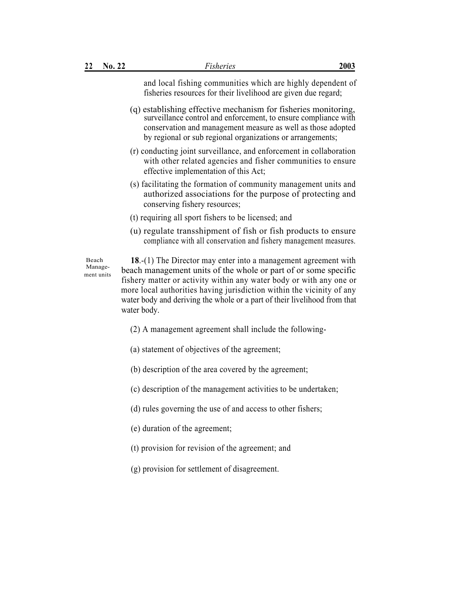| 22 | No. 22 | <i>Fisheries</i>                                                                                                              | 2003 |
|----|--------|-------------------------------------------------------------------------------------------------------------------------------|------|
|    |        | and local fishing communities which are highly dependent of<br>fisheries resources for their livelihood are given due regard; |      |

- (q) establishing effective mechanism for fisheries monitoring, surveillance control and enforcement, to ensure compliance with conservation and management measure as well as those adopted by regional or sub regional organizations or arrangements;
- (r) conducting joint surveillance, and enforcement in collaboration with other related agencies and fisher communities to ensure effective implementation of this Act;
- (s) facilitating the formation of community management units and authorized associations for the purpose of protecting and conserving fishery resources;
- (t) requiring all sport fishers to be licensed; and
- (u) regulate transshipment of fish or fish products to ensure compliance with all conservation and fishery management measures.

Beach Management units

**18**.-(1) The Director may enter into a management agreement with beach management units of the whole or part of or some specific fishery matter or activity within any water body or with any one or more local authorities having jurisdiction within the vicinity of any water body and deriving the whole or a part of their livelihood from that water body.

- (2) A management agreement shall include the following-
- (a) statement of objectives of the agreement;
- (b) description of the area covered by the agreement;
- (c) description of the management activities to be undertaken;
- (d) rules governing the use of and access to other fishers;
- (e) duration of the agreement;
- (t) provision for revision of the agreement; and
- (g) provision for settlement of disagreement.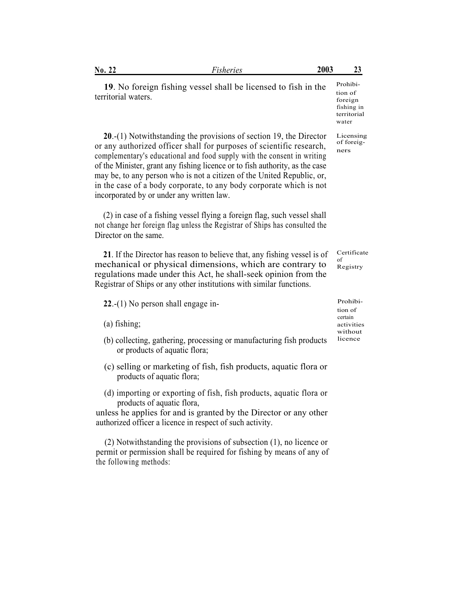| isheries<br>. . | No.<br>- -<br>$\sim$ $\sim$ |  | 2003 | . .<br>້⊿ |
|-----------------|-----------------------------|--|------|-----------|
|-----------------|-----------------------------|--|------|-----------|

**20**.-(1) Notwithstanding the provisions of section 19, the Director or any authorized officer shall for purposes of scientific research, complementary's educational and food supply with the consent in writing of the Minister, grant any fishing licence or to fish authority, as the case may be, to any person who is not a citizen of the United Republic, or, in the case of a body corporate, to any body corporate which is not incorporated by or under any written law.

(2) in case of a fishing vessel flying a foreign flag, such vessel shall not change her foreign flag unless the Registrar of Ships has consulted the Director on the same.

**21**. If the Director has reason to believe that, any fishing vessel is of mechanical or physical dimensions, which are contrary to regulations made under this Act, he shall-seek opinion from the Registrar of Ships or any other institutions with similar functions.

**22.-(1)** No person shall engage in-

(a) fishing; activities

- (b) collecting, gathering, processing or manufacturing fish products or products of aquatic flora;
- (c) selling or marketing of fish, fish products, aquatic flora or products of aquatic flora;
- (d) importing or exporting of fish, fish products, aquatic flora or products of aquatic flora,

unless he applies for and is granted by the Director or any other authorized officer a licence in respect of such activity.

(2) Notwithstanding the provisions of subsection (1), no licence or permit or permission shall be required for fishing by means of any of the following methods:

Prohibition of foreign fishing in territorial water

Licensing of foreigners

Certificate of Registry

tion of certain without licence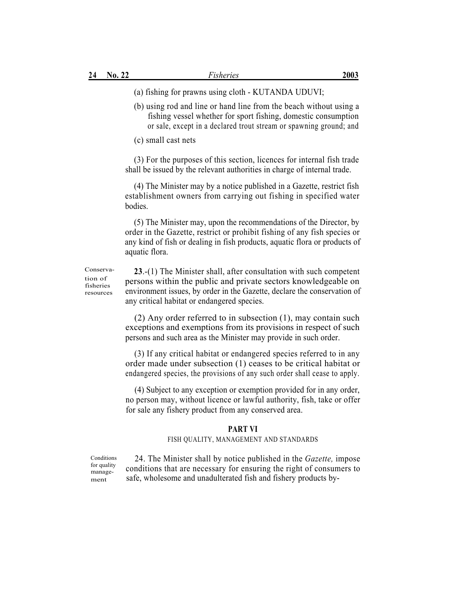(a) fishing for prawns using cloth - KUTANDA UDUVI;

(b) using rod and line or hand line from the beach without using a fishing vessel whether for sport fishing, domestic consumption or sale, except in a declared trout stream or spawning ground; and

(c) small cast nets

(3) For the purposes of this section, licences for internal fish trade shall be issued by the relevant authorities in charge of internal trade.

(4) The Minister may by a notice published in a Gazette, restrict fish establishment owners from carrying out fishing in specified water bodies.

(5) The Minister may, upon the recommendations of the Director, by order in the Gazette, restrict or prohibit fishing of any fish species or any kind of fish or dealing in fish products, aquatic flora or products of aquatic flora.

Conservation of fisheries resources

**23**.-(1) The Minister shall, after consultation with such competent persons within the public and private sectors knowledgeable on environment issues, by order in the Gazette, declare the conservation of any critical habitat or endangered species.

(2) Any order referred to in subsection (1), may contain such exceptions and exemptions from its provisions in respect of such persons and such area as the Minister may provide in such order.

(3) If any critical habitat or endangered species referred to in any order made under subsection (1) ceases to be critical habitat or endangered species, the provisions of any such order shall cease to apply.

(4) Subject to any exception or exemption provided for in any order, no person may, without licence or lawful authority, fish, take or offer for sale any fishery product from any conserved area.

### **PART VI**

### FISH QUALITY, MANAGEMENT AND STANDARDS

**Conditions** for quality management

24. The Minister shall by notice published in the *Gazette,* impose conditions that are necessary for ensuring the right of consumers to safe, wholesome and unadulterated fish and fishery products by-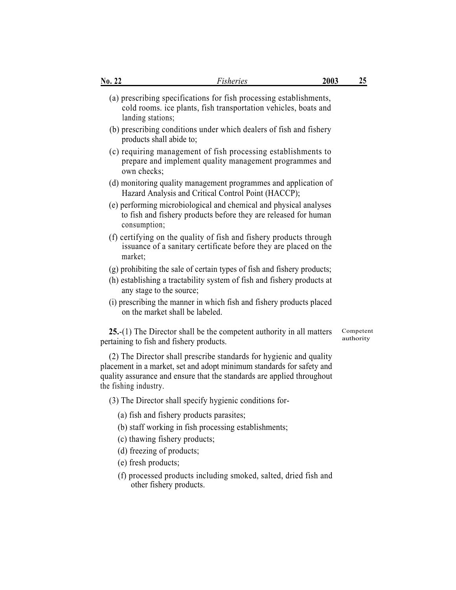| No. 22 | Fisheries                                                                                                                                                                                                                                       | 2003 | 25                     |
|--------|-------------------------------------------------------------------------------------------------------------------------------------------------------------------------------------------------------------------------------------------------|------|------------------------|
|        | (a) prescribing specifications for fish processing establishments,<br>cold rooms. ice plants, fish transportation vehicles, boats and<br>landing stations;                                                                                      |      |                        |
|        | (b) prescribing conditions under which dealers of fish and fishery<br>products shall abide to;                                                                                                                                                  |      |                        |
|        | (c) requiring management of fish processing establishments to<br>prepare and implement quality management programmes and<br>own checks;                                                                                                         |      |                        |
|        | (d) monitoring quality management programmes and application of<br>Hazard Analysis and Critical Control Point (HACCP);                                                                                                                          |      |                        |
|        | (e) performing microbiological and chemical and physical analyses<br>to fish and fishery products before they are released for human<br>consumption;                                                                                            |      |                        |
|        | (f) certifying on the quality of fish and fishery products through<br>issuance of a sanitary certificate before they are placed on the<br>market;                                                                                               |      |                        |
|        | (g) prohibiting the sale of certain types of fish and fishery products;<br>(h) establishing a tractability system of fish and fishery products at<br>any stage to the source;                                                                   |      |                        |
|        | (i) prescribing the manner in which fish and fishery products placed<br>on the market shall be labeled.                                                                                                                                         |      |                        |
|        | $25.-(1)$ The Director shall be the competent authority in all matters<br>pertaining to fish and fishery products.                                                                                                                              |      | Competent<br>authority |
|        | (2) The Director shall prescribe standards for hygienic and quality<br>placement in a market, set and adopt minimum standards for safety and<br>quality assurance and ensure that the standards are applied throughout<br>the fishing industry. |      |                        |
|        | (3) The Director shall specify hygienic conditions for-                                                                                                                                                                                         |      |                        |
|        | (a) fish and fishery products parasites;                                                                                                                                                                                                        |      |                        |
|        | (b) staff working in fish processing establishments;                                                                                                                                                                                            |      |                        |
|        | (c) thawing fishery products;                                                                                                                                                                                                                   |      |                        |
|        | (d) freezing of products;                                                                                                                                                                                                                       |      |                        |

- (e) fresh products;
- (f) processed products including smoked, salted, dried fish and other fishery products.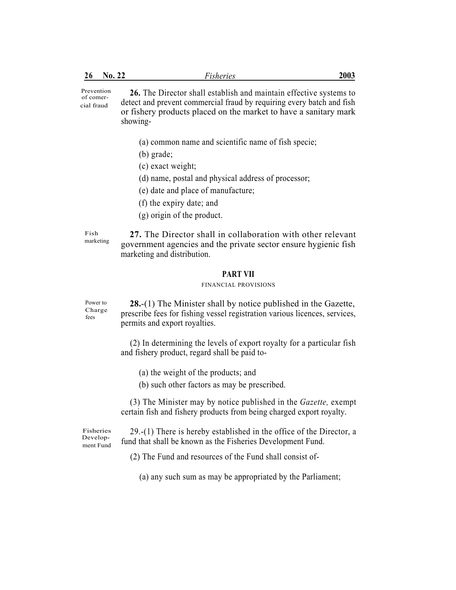| 26                                    | No. 22 | <b>Fisheries</b>                                                                                                                                                                                                            | 2003 |
|---------------------------------------|--------|-----------------------------------------------------------------------------------------------------------------------------------------------------------------------------------------------------------------------------|------|
| Prevention<br>of comer-<br>cial fraud |        | 26. The Director shall establish and maintain effective systems to<br>detect and prevent commercial fraud by requiring every batch and fish<br>or fishery products placed on the market to have a sanitary mark<br>showing- |      |
|                                       |        | (a) common name and scientific name of fish specie;                                                                                                                                                                         |      |
|                                       |        | $(b)$ grade;                                                                                                                                                                                                                |      |
|                                       |        | (c) exact weight;                                                                                                                                                                                                           |      |
|                                       |        | (d) name, postal and physical address of processor;                                                                                                                                                                         |      |
|                                       |        | (e) date and place of manufacture;                                                                                                                                                                                          |      |
|                                       |        | (f) the expiry date; and                                                                                                                                                                                                    |      |
|                                       |        | $(g)$ origin of the product.                                                                                                                                                                                                |      |
| Fish<br>marketing                     |        | 27. The Director shall in collaboration with other relevant<br>government agencies and the private sector ensure hygienic fish<br>marketing and distribution.                                                               |      |
|                                       |        | <b>PART VII</b>                                                                                                                                                                                                             |      |
|                                       |        | FINANCIAL PROVISIONS                                                                                                                                                                                                        |      |
| Power to<br>Charge<br>fees            |        | 28.-(1) The Minister shall by notice published in the Gazette,<br>prescribe fees for fishing vessel registration various licences, services,<br>permits and export royalties.                                               |      |
|                                       |        | (2) In determining the levels of export royalty for a particular fish<br>and fishery product, regard shall be paid to-                                                                                                      |      |
|                                       |        | (a) the weight of the products; and                                                                                                                                                                                         |      |
|                                       |        | (b) such other factors as may be prescribed.                                                                                                                                                                                |      |

(3) The Minister may by notice published in the *Gazette,* exempt certain fish and fishery products from being charged export royalty.

Fisheries Development Fund

29.-(1) There is hereby established in the office of the Director, a fund that shall be known as the Fisheries Development Fund.

(2) The Fund and resources of the Fund shall consist of-

(a) any such sum as may be appropriated by the Parliament;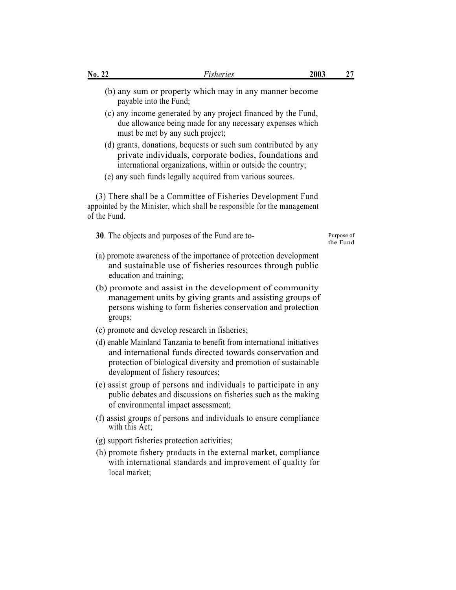- (b) any sum or property which may in any manner become payable into the Fund;
- (c) any income generated by any project financed by the Fund, due allowance being made for any necessary expenses which must be met by any such project;
- (d) grants, donations, bequests or such sum contributed by any private individuals, corporate bodies, foundations and international organizations, within or outside the country;
- (e) any such funds legally acquired from various sources.

(3) There shall be a Committee of Fisheries Development Fund appointed by the Minister, which shall be responsible for the management of the Fund.

**30**. The objects and purposes of the Fund are to-

the Fund

- (a) promote awareness of the importance of protection development and sustainable use of fisheries resources through public education and training;
- (b) promote and assist in the development of community management units by giving grants and assisting groups of persons wishing to form fisheries conservation and protection groups;
- (c) promote and develop research in fisheries;
- (d) enable Mainland Tanzania to benefit from international initiatives and international funds directed towards conservation and protection of biological diversity and promotion of sustainable development of fishery resources;
- (e) assist group of persons and individuals to participate in any public debates and discussions on fisheries such as the making of environmental impact assessment;
- (f) assist groups of persons and individuals to ensure compliance with this Act:
- (g) support fisheries protection activities;
- (h) promote fishery products in the external market, compliance with international standards and improvement of quality for local market;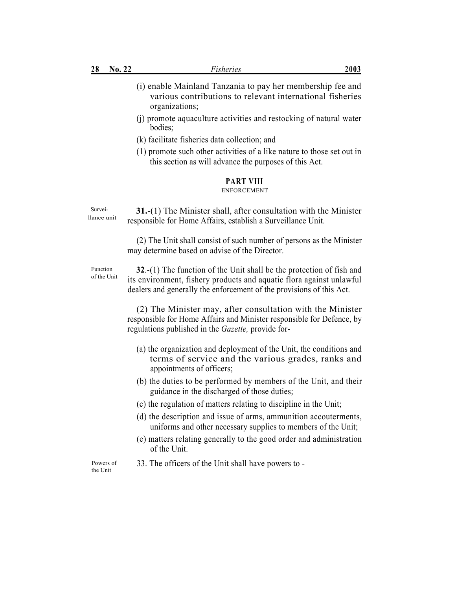- (i) enable Mainland Tanzania to pay her membership fee and various contributions to relevant international fisheries organizations;
- (j) promote aquaculture activities and restocking of natural water bodies;
- (k) facilitate fisheries data collection; and
- (1) promote such other activities of a like nature to those set out in this section as will advance the purposes of this Act.

# **PART VIII**

### ENFORCEMENT

Surveillance unit

**31.**-(1) The Minister shall, after consultation with the Minister responsible for Home Affairs, establish a Surveillance Unit.

(2) The Unit shall consist of such number of persons as the Minister may determine based on advise of the Director.

Function of the Unit

**32**.-(1) The function of the Unit shall be the protection of fish and its environment, fishery products and aquatic flora against unlawful dealers and generally the enforcement of the provisions of this Act.

(2) The Minister may, after consultation with the Minister responsible for Home Affairs and Minister responsible for Defence, by regulations published in the *Gazette,* provide for-

- (a) the organization and deployment of the Unit, the conditions and terms of service and the various grades, ranks and appointments of officers;
- (b) the duties to be performed by members of the Unit, and their guidance in the discharged of those duties;
- (c) the regulation of matters relating to discipline in the Unit;
- (d) the description and issue of arms, ammunition accouterments, uniforms and other necessary supplies to members of the Unit;
- (e) matters relating generally to the good order and administration of the Unit.

Powers of 33. The officers of the Unit shall have powers to - the Unit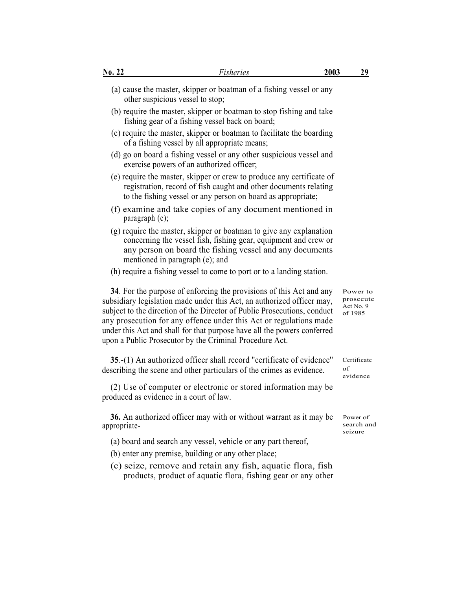| No. 22       | <b>Fisheries</b>                                                                                                                                                                                                                                                                                                                                                                                                                      | 2003 | <u>29</u>                                    |
|--------------|---------------------------------------------------------------------------------------------------------------------------------------------------------------------------------------------------------------------------------------------------------------------------------------------------------------------------------------------------------------------------------------------------------------------------------------|------|----------------------------------------------|
|              | (a) cause the master, skipper or boatman of a fishing vessel or any<br>other suspicious vessel to stop;                                                                                                                                                                                                                                                                                                                               |      |                                              |
|              | (b) require the master, skipper or boatman to stop fishing and take<br>fishing gear of a fishing vessel back on board;                                                                                                                                                                                                                                                                                                                |      |                                              |
|              | (c) require the master, skipper or boatman to facilitate the boarding<br>of a fishing vessel by all appropriate means;                                                                                                                                                                                                                                                                                                                |      |                                              |
|              | (d) go on board a fishing vessel or any other suspicious vessel and<br>exercise powers of an authorized officer;                                                                                                                                                                                                                                                                                                                      |      |                                              |
|              | (e) require the master, skipper or crew to produce any certificate of<br>registration, record of fish caught and other documents relating<br>to the fishing vessel or any person on board as appropriate;                                                                                                                                                                                                                             |      |                                              |
|              | (f) examine and take copies of any document mentioned in<br>paragraph (e);                                                                                                                                                                                                                                                                                                                                                            |      |                                              |
|              | (g) require the master, skipper or boatman to give any explanation<br>concerning the vessel fish, fishing gear, equipment and crew or<br>any person on board the fishing vessel and any documents<br>mentioned in paragraph (e); and                                                                                                                                                                                                  |      |                                              |
|              | (h) require a fishing vessel to come to port or to a landing station.                                                                                                                                                                                                                                                                                                                                                                 |      |                                              |
|              | 34. For the purpose of enforcing the provisions of this Act and any<br>subsidiary legislation made under this Act, an authorized officer may,<br>subject to the direction of the Director of Public Prosecutions, conduct<br>any prosecution for any offence under this Act or regulations made<br>under this Act and shall for that purpose have all the powers conferred<br>upon a Public Prosecutor by the Criminal Procedure Act. |      | Power to<br>prosecut<br>Act No. 9<br>of 1985 |
|              | 35.-(1) An authorized officer shall record "certificate of evidence"<br>describing the scene and other particulars of the crimes as evidence.                                                                                                                                                                                                                                                                                         |      | Certificate<br>of<br>evidence                |
|              | (2) Use of computer or electronic or stored information may be<br>produced as evidence in a court of law                                                                                                                                                                                                                                                                                                                              |      |                                              |
| appropriate- | 36. An authorized officer may with or without warrant as it may be                                                                                                                                                                                                                                                                                                                                                                    |      | Power of<br>search ai<br>seizure             |
|              | (a) board and search any vessel, vehicle or any part thereof,                                                                                                                                                                                                                                                                                                                                                                         |      |                                              |
|              | (b) enter any premise, building or any other place;                                                                                                                                                                                                                                                                                                                                                                                   |      |                                              |
|              | (c) seize, remove and retain any fish, aquatic flora, fish<br>products, product of aquatic flora, fishing gear or any other                                                                                                                                                                                                                                                                                                           |      |                                              |

ver to prosecute Act No. 9 985

ificate lence

er of ch and ure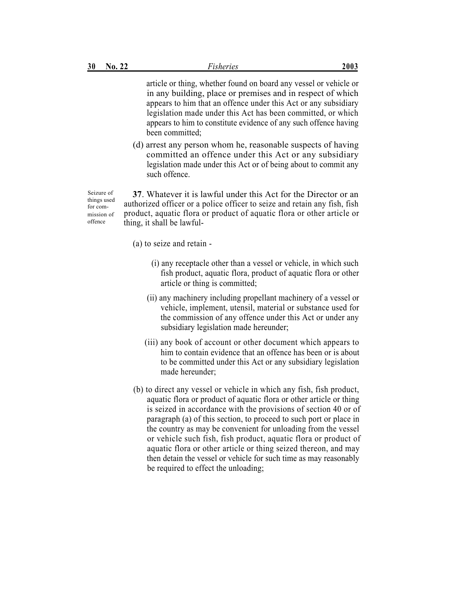article or thing, whether found on board any vessel or vehicle or in any building, place or premises and in respect of which appears to him that an offence under this Act or any subsidiary legislation made under this Act has been committed, or which appears to him to constitute evidence of any such offence having been committed;

(d) arrest any person whom he, reasonable suspects of having committed an offence under this Act or any subsidiary legislation made under this Act or of being about to commit any such offence.

Seizure of things used for commission of offence

**37**. Whatever it is lawful under this Act for the Director or an authorized officer or a police officer to seize and retain any fish, fish product, aquatic flora or product of aquatic flora or other article or thing, it shall be lawful-

- (a) to seize and retain
	- (i) any receptacle other than a vessel or vehicle, in which such fish product, aquatic flora, product of aquatic flora or other article or thing is committed;
	- (ii) any machinery including propellant machinery of a vessel or vehicle, implement, utensil, material or substance used for the commission of any offence under this Act or under any subsidiary legislation made hereunder;
	- (iii) any book of account or other document which appears to him to contain evidence that an offence has been or is about to be committed under this Act or any subsidiary legislation made hereunder;
- (b) to direct any vessel or vehicle in which any fish, fish product, aquatic flora or product of aquatic flora or other article or thing is seized in accordance with the provisions of section 40 or of paragraph (a) of this section, to proceed to such port or place in the country as may be convenient for unloading from the vessel or vehicle such fish, fish product, aquatic flora or product of aquatic flora or other article or thing seized thereon, and may then detain the vessel or vehicle for such time as may reasonably be required to effect the unloading;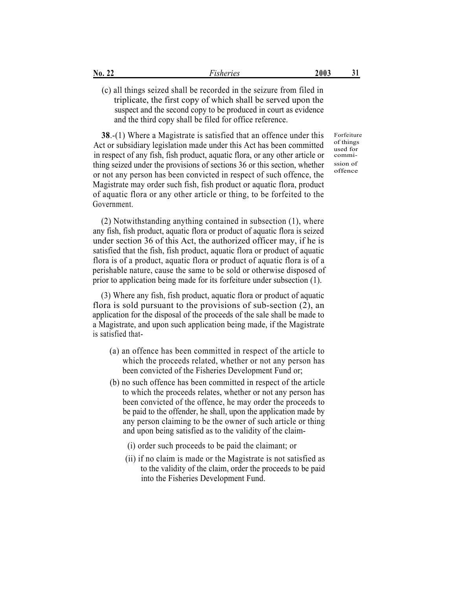| $\mathrm{No.}\ 22$ | <b>Fisheries</b>                                                     | 2003 | 31 |
|--------------------|----------------------------------------------------------------------|------|----|
|                    | (c) all things seized shall be recorded in the seizure from filed in |      |    |
|                    | triplicate, the first copy of which shall be served upon the         |      |    |
|                    | suspect and the second copy to be produced in court as evidence      |      |    |
|                    | and the third copy shall be filed for office reference.              |      |    |

**38.**-(1) Where a Magistrate is satisfied that an offence under this Act or subsidiary legislation made under this Act has been committed in respect of any fish, fish product, aquatic flora, or any other article or thing seized under the provisions of sections 36 or this section, whether or not any person has been convicted in respect of such offence, the Magistrate may order such fish, fish product or aquatic flora, product of aquatic flora or any other article or thing, to be forfeited to the Government.

(2) Notwithstanding anything contained in subsection (1), where any fish, fish product, aquatic flora or product of aquatic flora is seized under section 36 of this Act, the authorized officer may, if he is satisfied that the fish, fish product, aquatic flora or product of aquatic flora is of a product, aquatic flora or product of aquatic flora is of a perishable nature, cause the same to be sold or otherwise disposed of prior to application being made for its forfeiture under subsection (1).

(3) Where any fish, fish product, aquatic flora or product of aquatic flora is sold pursuant to the provisions of sub-section (2), an application for the disposal of the proceeds of the sale shall be made to a Magistrate, and upon such application being made, if the Magistrate is satisfied that-

- (a) an offence has been committed in respect of the article to which the proceeds related, whether or not any person has been convicted of the Fisheries Development Fund or;
- (b) no such offence has been committed in respect of the article to which the proceeds relates, whether or not any person has been convicted of the offence, he may order the proceeds to be paid to the offender, he shall, upon the application made by any person claiming to be the owner of such article or thing and upon being satisfied as to the validity of the claim-
	- (i) order such proceeds to be paid the claimant; or
	- (ii) if no claim is made or the Magistrate is not satisfied as to the validity of the claim, order the proceeds to be paid into the Fisheries Development Fund.

Forfeiture of things used for

commission of offence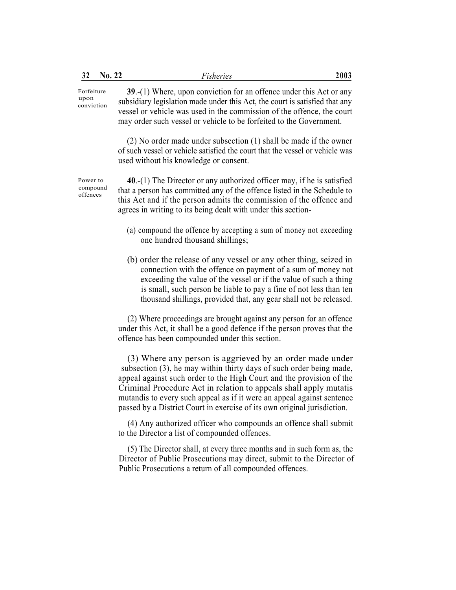| 32                               | No. 22 | <b>Fisheries</b>                                                                                                                                                                                                                                                                                                                                                                                                                   | 2003 |
|----------------------------------|--------|------------------------------------------------------------------------------------------------------------------------------------------------------------------------------------------------------------------------------------------------------------------------------------------------------------------------------------------------------------------------------------------------------------------------------------|------|
| Forfeiture<br>upon<br>conviction |        | 39.-(1) Where, upon conviction for an offence under this Act or any<br>subsidiary legislation made under this Act, the court is satisfied that any<br>vessel or vehicle was used in the commission of the offence, the court<br>may order such vessel or vehicle to be forfeited to the Government.                                                                                                                                |      |
|                                  |        | $(2)$ No order made under subsection $(1)$ shall be made if the owner<br>of such vessel or vehicle satisfied the court that the vessel or vehicle was<br>used without his knowledge or consent.                                                                                                                                                                                                                                    |      |
| Power to<br>compound<br>offences |        | $40-(1)$ The Director or any authorized officer may, if he is satisfied<br>that a person has committed any of the offence listed in the Schedule to<br>this Act and if the person admits the commission of the offence and<br>agrees in writing to its being dealt with under this section-                                                                                                                                        |      |
|                                  |        | (a) compound the offence by accepting a sum of money not exceeding<br>one hundred thousand shillings;                                                                                                                                                                                                                                                                                                                              |      |
|                                  |        | (b) order the release of any vessel or any other thing, seized in<br>connection with the offence on payment of a sum of money not<br>exceeding the value of the vessel or if the value of such a thing<br>is small, such person be liable to pay a fine of not less than ten<br>thousand shillings, provided that, any gear shall not be released.                                                                                 |      |
|                                  |        | (2) Where proceedings are brought against any person for an offence<br>under this Act, it shall be a good defence if the person proves that the<br>offence has been compounded under this section.                                                                                                                                                                                                                                 |      |
|                                  |        | (3) Where any person is aggrieved by an order made under<br>subsection (3), he may within thirty days of such order being made,<br>appeal against such order to the High Court and the provision of the<br>Criminal Procedure Act in relation to appeals shall apply mutatis<br>mutandis to every such appeal as if it were an appeal against sentence<br>passed by a District Court in exercise of its own original jurisdiction. |      |
|                                  |        | (4) Any authorized officer who compounds an offence shall submit<br>to the Director a list of compounded offences.                                                                                                                                                                                                                                                                                                                 |      |
|                                  |        | (5) The Director shall at every three months and in such form as the                                                                                                                                                                                                                                                                                                                                                               |      |

(5) The Director shall, at every three months and in such form as, the Director of Public Prosecutions may direct, submit to the Director of Public Prosecutions a return of all compounded offences.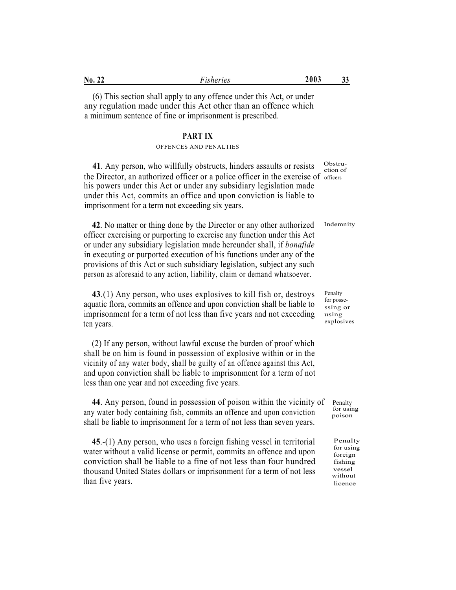| No. 22 | <i>isheries</i> | 2003<br>ັ |  |
|--------|-----------------|-----------|--|
|        |                 |           |  |

(6) This section shall apply to any offence under this Act, or under any regulation made under this Act other than an offence which a minimum sentence of fine or imprisonment is prescribed.

### **PART IX**

### OFFENCES AND PENALTIES

41. Any person, who willfully obstructs, hinders assaults or resists characterian of the Director, an authorized officer or a police officer in the exercise of officers his powers under this Act or under any subsidiary legislation made under this Act, commits an office and upon conviction is liable to imprisonment for a term not exceeding six years.

**42**. No matter or thing done by the Director or any other authorized officer exercising or purporting to exercise any function under this Act or under any subsidiary legislation made hereunder shall, if *bonafide* in executing or purported execution of his functions under any of the provisions of this Act or such subsidiary legislation, subject any such person as aforesaid to any action, liability, claim or demand whatsoever. Indemnity

**43**.(1) Any person, who uses explosives to kill fish or, destroys aquatic flora, commits an offence and upon conviction shall be liable to imprisonment for a term of not less than five years and not exceeding ten years.

(2) If any person, without lawful excuse the burden of proof which shall be on him is found in possession of explosive within or in the vicinity of any water body, shall be guilty of an offence against this Act, and upon conviction shall be liable to imprisonment for a term of not less than one year and not exceeding five years.

**44**. Any person, found in possession of poison within the vicinity of Penalty<br>we make help continuing fight committee of force and we are consisting for using any water body containing fish, commits an offence and upon conviction  $\frac{1}{100}$   $\frac{1}{100}$ shall be liable to imprisonment for a term of not less than seven years.

**45**.-(1) Any person, who uses a foreign fishing vessel in territorial water without a valid license or permit, commits an offence and upon conviction shall be liable to a fine of not less than four hundred thousand United States dollars or imprisonment for a term of not less than five years.

Penalty for possessing or using explosives

Penalty for using foreign fishing vessel without licence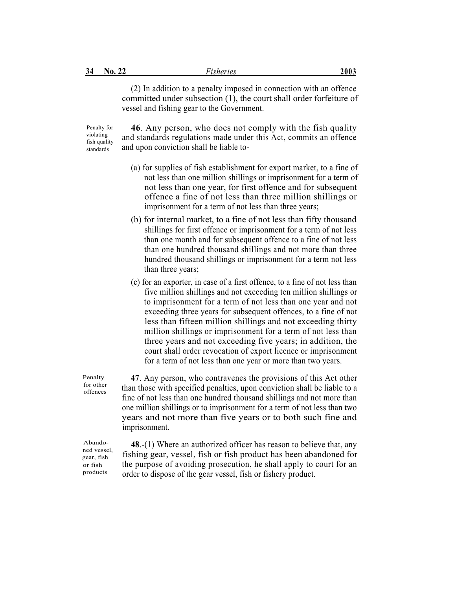(2) In addition to a penalty imposed in connection with an offence committed under subsection (1), the court shall order forfeiture of vessel and fishing gear to the Government.

Penalty for violating fish quality standards

**46**. Any person, who does not comply with the fish quality and standards regulations made under this Act, commits an offence and upon conviction shall be liable to-

- (a) for supplies of fish establishment for export market, to a fine of not less than one million shillings or imprisonment for a term of not less than one year, for first offence and for subsequent offence a fine of not less than three million shillings or imprisonment for a term of not less than three years;
- (b) for internal market, to a fine of not less than fifty thousand shillings for first offence or imprisonment for a term of not less than one month and for subsequent offence to a fine of not less than one hundred thousand shillings and not more than three hundred thousand shillings or imprisonment for a term not less than three years;
- (c) for an exporter, in case of a first offence, to a fine of not less than five million shillings and not exceeding ten million shillings or to imprisonment for a term of not less than one year and not exceeding three years for subsequent offences, to a fine of not less than fifteen million shillings and not exceeding thirty million shillings or imprisonment for a term of not less than three years and not exceeding five years; in addition, the court shall order revocation of export licence or imprisonment for a term of not less than one year or more than two years.

**47**. Any person, who contravenes the provisions of this Act other than those with specified penalties, upon conviction shall be liable to a fine of not less than one hundred thousand shillings and not more than one million shillings or to imprisonment for a term of not less than two years and not more than five years or to both such fine and imprisonment.

Abandoned vessel, gear, fish or fish products

Penalty for other offences

> **48**.-(1) Where an authorized officer has reason to believe that, any fishing gear, vessel, fish or fish product has been abandoned for the purpose of avoiding prosecution, he shall apply to court for an order to dispose of the gear vessel, fish or fishery product.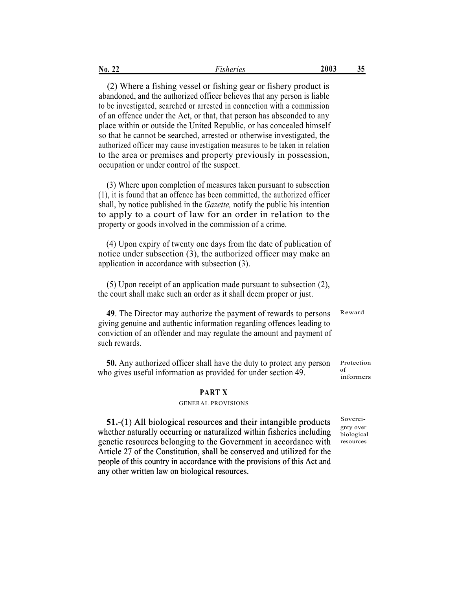| No.<br>44 | <u>,</u> .<br>heries<br>$\rightarrow$ $\sim$ $I_A$ | 800A<br>ZUUJ | 35<br>ັັ |
|-----------|----------------------------------------------------|--------------|----------|
|           |                                                    |              |          |

(2) Where a fishing vessel or fishing gear or fishery product is abandoned, and the authorized officer believes that any person is liable to be investigated, searched or arrested in connection with a commission of an offence under the Act, or that, that person has absconded to any place within or outside the United Republic, or has concealed himself so that he cannot be searched, arrested or otherwise investigated, the authorized officer may cause investigation measures to be taken in relation to the area or premises and property previously in possession, occupation or under control of the suspect.

(3) Where upon completion of measures taken pursuant to subsection (1), it is found that an offence has been committed, the authorized officer shall, by notice published in the *Gazette,* notify the public his intention to apply to a court of law for an order in relation to the property or goods involved in the commission of a crime.

(4) Upon expiry of twenty one days from the date of publication of notice under subsection (3), the authorized officer may make an application in accordance with subsection (3).

(5) Upon receipt of an application made pursuant to subsection (2), the court shall make such an order as it shall deem proper or just.

**49**. The Director may authorize the payment of rewards to persons giving genuine and authentic information regarding offences leading to conviction of an offender and may regulate the amount and payment of such rewards. Reward

**50.** Any authorized officer shall have the duty to protect any person who gives useful information as provided for under section 49. Protection of informers

### **PART X**

### GENERAL PROVISIONS

51.-(1) All biological resources and their intangible products  $\frac{\text{Soverei}}{\text{Soverian}}$ whether naturally occurring or naturalized within fisheries including genetic resources belonging to the Government in accordance with Article 27 of the Constitution, shall be conserved and utilized for the people of this country in accordance with the provisions of this Act and any other written law on biological resources.

gnty over

biological resources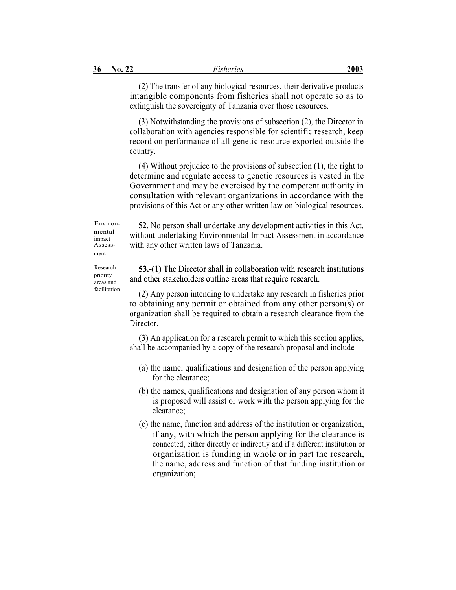(2) The transfer of any biological resources, their derivative products intangible components from fisheries shall not operate so as to extinguish the sovereignty of Tanzania over those resources.

(3) Notwithstanding the provisions of subsection (2), the Director in collaboration with agencies responsible for scientific research, keep record on performance of all genetic resource exported outside the country.

(4) Without prejudice to the provisions of subsection (1), the right to determine and regulate access to genetic resources is vested in the Government and may be exercised by the competent authority in consultation with relevant organizations in accordance with the provisions of this Act or any other written law on biological resources.

Environmental impact Assessment

Research priority areas and

**52.** No person shall undertake any development activities in this Act, without undertaking Environmental Impact Assessment in accordance with any other written laws of Tanzania.

# **53.-**(1) The Director shall in collaboration with research institutions (1**)**and other stakeholders outline areas that require research.

facilitation (2) Any person intending to undertake any research in fisheries prior to obtaining any permit or obtained from any other person(s) or organization shall be required to obtain a research clearance from the Director.

> (3) An application for a research permit to which this section applies, shall be accompanied by a copy of the research proposal and include-

- (a) the name, qualifications and designation of the person applying for the clearance;
- (b) the names, qualifications and designation of any person whom it is proposed will assist or work with the person applying for the clearance;
- (c) the name, function and address of the institution or organization, if any, with which the person applying for the clearance is connected, either directly or indirectly and if a different institution or organization is funding in whole or in part the research, the name, address and function of that funding institution or organization;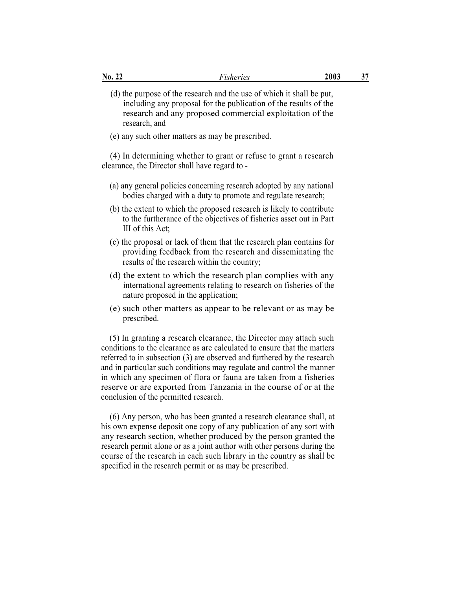| $N_0$ . 22                                     | Fisheries                                                                                                                                                                                                                                                                                                                                                                                                                                     | 2003 | 37 |
|------------------------------------------------|-----------------------------------------------------------------------------------------------------------------------------------------------------------------------------------------------------------------------------------------------------------------------------------------------------------------------------------------------------------------------------------------------------------------------------------------------|------|----|
| research, and                                  | (d) the purpose of the research and the use of which it shall be put,<br>including any proposal for the publication of the results of the<br>research and any proposed commercial exploitation of the                                                                                                                                                                                                                                         |      |    |
|                                                | (e) any such other matters as may be prescribed.                                                                                                                                                                                                                                                                                                                                                                                              |      |    |
| clearance, the Director shall have regard to - | (4) In determining whether to grant or refuse to grant a research                                                                                                                                                                                                                                                                                                                                                                             |      |    |
|                                                | (a) any general policies concerning research adopted by any national<br>bodies charged with a duty to promote and regulate research;                                                                                                                                                                                                                                                                                                          |      |    |
| III of this Act;                               | (b) the extent to which the proposed research is likely to contribute<br>to the furtherance of the objectives of fisheries asset out in Part                                                                                                                                                                                                                                                                                                  |      |    |
|                                                | (c) the proposal or lack of them that the research plan contains for<br>providing feedback from the research and disseminating the<br>results of the research within the country;                                                                                                                                                                                                                                                             |      |    |
| nature proposed in the application;            | (d) the extent to which the research plan complies with any<br>international agreements relating to research on fisheries of the                                                                                                                                                                                                                                                                                                              |      |    |
| prescribed.                                    | (e) such other matters as appear to be relevant or as may be                                                                                                                                                                                                                                                                                                                                                                                  |      |    |
| conclusion of the permitted research.          | (5) In granting a research clearance, the Director may attach such<br>conditions to the clearance as are calculated to ensure that the matters<br>referred to in subsection (3) are observed and furthered by the research<br>and in particular such conditions may regulate and control the manner<br>in which any specimen of flora or fauna are taken from a fisheries<br>reserve or are exported from Tanzania in the course of or at the |      |    |
|                                                | (6) Any person, who has been granted a research clearance shall, at<br>his own expense deposit one copy of any publication of any sort with<br>any research section, whether produced by the person granted the<br>research permit alone or as a joint author with other persons during the<br>course of the research in each such library in the country as shall be<br>specified in the research permit or as may be prescribed.            |      |    |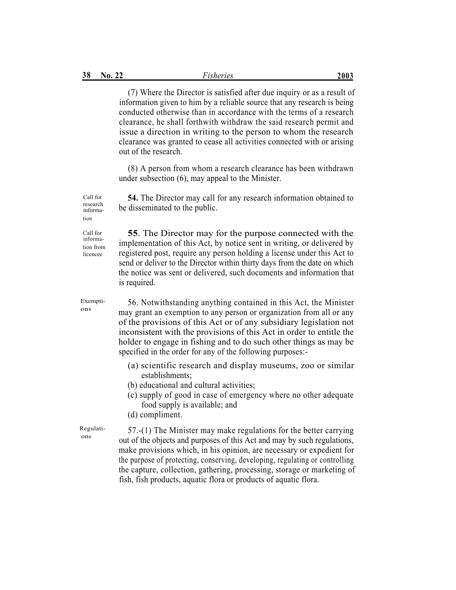(7) Where the Director is satisfied after due inquiry or as a result of information given to him by a reliable source that any research is being conducted otherwise than in accordance with the terms of a research clearance, he shall forthwith withdraw the said research permit and issue a direction in writing to the person to whom the research clearance was granted to cease all activities connected with or arising out of the research.

(8) A person from whom a research clearance has been withdrawn under subsection (6), may appeal to the Minister.

**54.** The Director may call for any research information obtained to be disseminated to the public.

Call for information from

licencee

Call for research information

> **55**. The Director may for the purpose connected with the implementation of this Act, by notice sent in writing, or delivered by registered post, require any person holding a license under this Act to send or deliver to the Director within thirty days from the date on which the notice was sent or delivered, such documents and information that is required.

Exemptions

56. Notwithstanding anything contained in this Act, the Minister may grant an exemption to any person or organization from all or any of the provisions of this Act or of any subsidiary legislation not inconsistent with the provisions of this Act in order to entitle the holder to engage in fishing and to do such other things as may be specified in the order for any of the following purposes:-

- (a) scientific research and display museums, zoo or similar establishments;
- (b) educational and cultural activities;
- (c) supply of good in case of emergency where no other adequate food supply is available; and
- (d) compliment.

Regulations

57.-(1) The Minister may make regulations for the better carrying out of the objects and purposes of this Act and may by such regulations, make provisions which, in his opinion, are necessary or expedient for the purpose of protecting, conserving, developing, regulating or controlling the capture, collection, gathering, processing, storage or marketing of fish, fish products, aquatic flora or products of aquatic flora.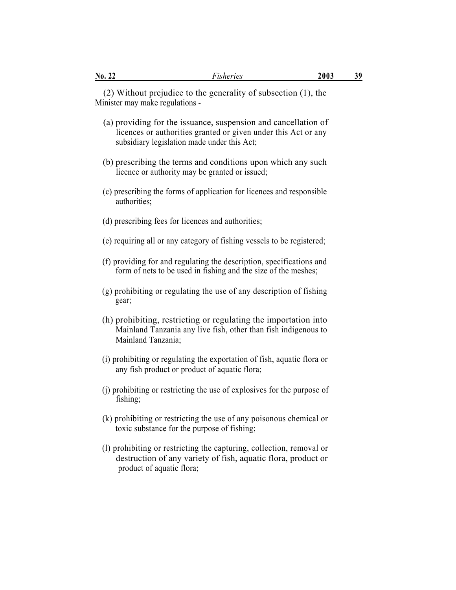(2) Without prejudice to the generality of subsection (1), the Minister may make regulations -

- (a) providing for the issuance, suspension and cancellation of licences or authorities granted or given under this Act or any subsidiary legislation made under this Act;
- (b) prescribing the terms and conditions upon which any such licence or authority may be granted or issued;
- (c) prescribing the forms of application for licences and responsible authorities;
- (d) prescribing fees for licences and authorities;
- (e) requiring all or any category of fishing vessels to be registered;
- (f) providing for and regulating the description, specifications and form of nets to be used in fishing and the size of the meshes;
- (g) prohibiting or regulating the use of any description of fishing gear;
- (h) prohibiting, restricting or regulating the importation into Mainland Tanzania any live fish, other than fish indigenous to Mainland Tanzania;
- (i) prohibiting or regulating the exportation of fish, aquatic flora or any fish product or product of aquatic flora;
- (j) prohibiting or restricting the use of explosives for the purpose of fishing;
- (k) prohibiting or restricting the use of any poisonous chemical or toxic substance for the purpose of fishing;
- (l) prohibiting or restricting the capturing, collection, removal or destruction of any variety of fish, aquatic flora, product or product of aquatic flora;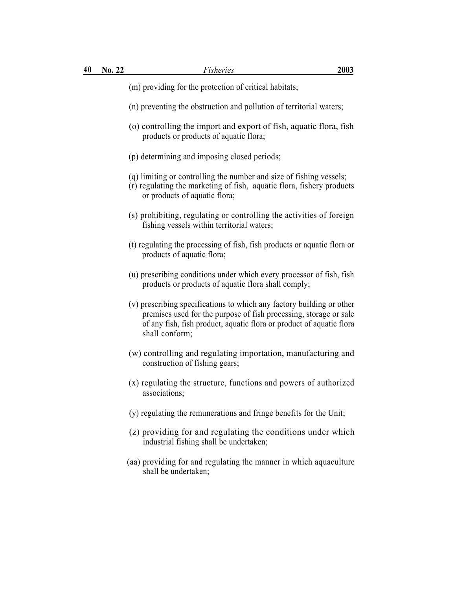- (m) providing for the protection of critical habitats;
- (n) preventing the obstruction and pollution of territorial waters;
- (o) controlling the import and export of fish, aquatic flora, fish products or products of aquatic flora;
- (p) determining and imposing closed periods;
- (q) limiting or controlling the number and size of fishing vessels;
- (r) regulating the marketing of fish, aquatic flora, fishery products or products of aquatic flora;
- (s) prohibiting, regulating or controlling the activities of foreign fishing vessels within territorial waters;
- (t) regulating the processing of fish, fish products or aquatic flora or products of aquatic flora;
- (u) prescribing conditions under which every processor of fish, fish products or products of aquatic flora shall comply;
- (v) prescribing specifications to which any factory building or other premises used for the purpose of fish processing, storage or sale of any fish, fish product, aquatic flora or product of aquatic flora shall conform;
- (w) controlling and regulating importation, manufacturing and construction of fishing gears;
- (x) regulating the structure, functions and powers of authorized associations;
- (y) regulating the remunerations and fringe benefits for the Unit;
- (z) providing for and regulating the conditions under which industrial fishing shall be undertaken;
- (aa) providing for and regulating the manner in which aquaculture shall be undertaken;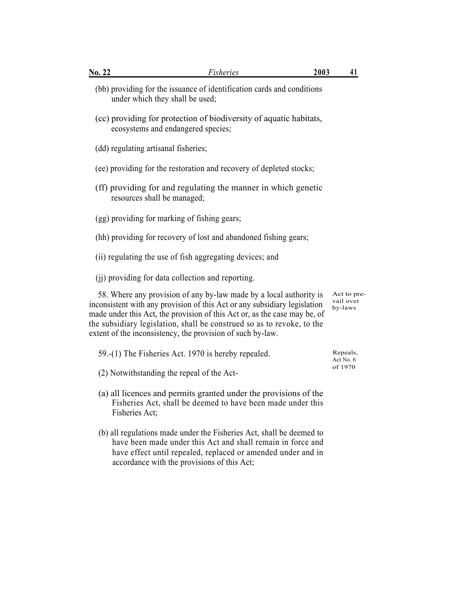| <b>No. 22</b>                                     | Fisheries                                                                                                                                                                                                                                                                                                                                                            | 2003 | 41                                  |
|---------------------------------------------------|----------------------------------------------------------------------------------------------------------------------------------------------------------------------------------------------------------------------------------------------------------------------------------------------------------------------------------------------------------------------|------|-------------------------------------|
| under which they shall be used;                   | (bb) providing for the issuance of identification cards and conditions                                                                                                                                                                                                                                                                                               |      |                                     |
| ecosystems and endangered species;                | (cc) providing for protection of biodiversity of aquatic habitats,                                                                                                                                                                                                                                                                                                   |      |                                     |
| (dd) regulating artisanal fisheries;              |                                                                                                                                                                                                                                                                                                                                                                      |      |                                     |
|                                                   | (ee) providing for the restoration and recovery of depleted stocks;                                                                                                                                                                                                                                                                                                  |      |                                     |
| resources shall be managed;                       | (ff) providing for and regulating the manner in which genetic                                                                                                                                                                                                                                                                                                        |      |                                     |
| (gg) providing for marking of fishing gears;      |                                                                                                                                                                                                                                                                                                                                                                      |      |                                     |
|                                                   | (hh) providing for recovery of lost and abandoned fishing gears;                                                                                                                                                                                                                                                                                                     |      |                                     |
|                                                   | (ii) regulating the use of fish aggregating devices; and                                                                                                                                                                                                                                                                                                             |      |                                     |
| (ii) providing for data collection and reporting. |                                                                                                                                                                                                                                                                                                                                                                      |      |                                     |
|                                                   | 58. Where any provision of any by-law made by a local authority is<br>inconsistent with any provision of this Act or any subsidiary legislation<br>made under this Act, the provision of this Act or, as the case may be, of<br>the subsidiary legislation, shall be construed so as to revoke, to the<br>extent of the inconsistency, the provision of such by-law. |      | Act to pre-<br>vail over<br>by-laws |
|                                                   | 59.-(1) The Fisheries Act. 1970 is hereby repealed.                                                                                                                                                                                                                                                                                                                  |      | Repeals,<br>Act No. 6               |
| (2) Notwithstanding the repeal of the Act-        |                                                                                                                                                                                                                                                                                                                                                                      |      | of 1970                             |
| Fisheries Act;                                    | (a) all licences and permits granted under the provisions of the<br>Fisheries Act, shall be deemed to have been made under this                                                                                                                                                                                                                                      |      |                                     |
|                                                   | (b) all regulations made under the Fisheries Act, shall be deemed to<br>have been made under this Act and shall remain in force and                                                                                                                                                                                                                                  |      |                                     |

have effect until repealed, replaced or amended under and in

accordance with the provisions of this Act;